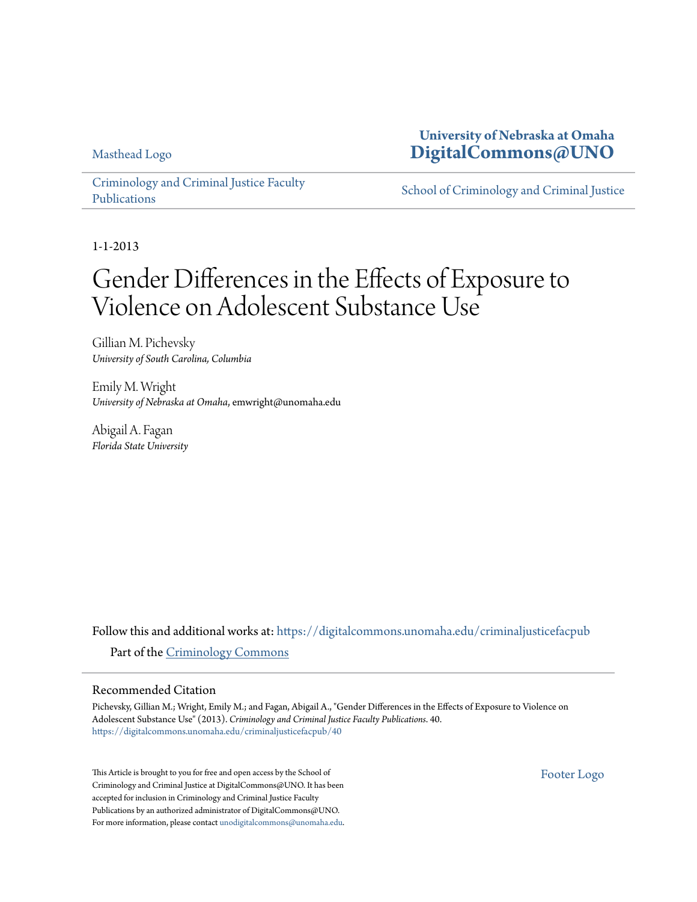[Masthead Logo](http://www.unomaha.edu/?utm_source=digitalcommons.unomaha.edu%2Fcriminaljusticefacpub%2F40&utm_medium=PDF&utm_campaign=PDFCoverPages)

**University of Nebraska at Omaha [DigitalCommons@UNO](https://digitalcommons.unomaha.edu?utm_source=digitalcommons.unomaha.edu%2Fcriminaljusticefacpub%2F40&utm_medium=PDF&utm_campaign=PDFCoverPages)**

[Criminology and Criminal Justice Faculty](https://digitalcommons.unomaha.edu/criminaljusticefacpub?utm_source=digitalcommons.unomaha.edu%2Fcriminaljusticefacpub%2F40&utm_medium=PDF&utm_campaign=PDFCoverPages) [Publications](https://digitalcommons.unomaha.edu/criminaljusticefacpub?utm_source=digitalcommons.unomaha.edu%2Fcriminaljusticefacpub%2F40&utm_medium=PDF&utm_campaign=PDFCoverPages)

[School of Criminology and Criminal Justice](https://digitalcommons.unomaha.edu/criminaljustice?utm_source=digitalcommons.unomaha.edu%2Fcriminaljusticefacpub%2F40&utm_medium=PDF&utm_campaign=PDFCoverPages)

1-1-2013

# Gender Differences in the Effects of Exposure to Violence on Adolescent Substance Use

Gillian M. Pichevsky *University of South Carolina, Columbia*

Emily M. Wright *University of Nebraska at Omaha*, emwright@unomaha.edu

Abigail A. Fagan *Florida State University*

Follow this and additional works at: [https://digitalcommons.unomaha.edu/criminaljusticefacpub](https://digitalcommons.unomaha.edu/criminaljusticefacpub?utm_source=digitalcommons.unomaha.edu%2Fcriminaljusticefacpub%2F40&utm_medium=PDF&utm_campaign=PDFCoverPages) Part of the [Criminology Commons](http://network.bepress.com/hgg/discipline/417?utm_source=digitalcommons.unomaha.edu%2Fcriminaljusticefacpub%2F40&utm_medium=PDF&utm_campaign=PDFCoverPages)

#### Recommended Citation

Pichevsky, Gillian M.; Wright, Emily M.; and Fagan, Abigail A., "Gender Differences in the Effects of Exposure to Violence on Adolescent Substance Use" (2013). *Criminology and Criminal Justice Faculty Publications*. 40. [https://digitalcommons.unomaha.edu/criminaljusticefacpub/40](https://digitalcommons.unomaha.edu/criminaljusticefacpub/40?utm_source=digitalcommons.unomaha.edu%2Fcriminaljusticefacpub%2F40&utm_medium=PDF&utm_campaign=PDFCoverPages)

This Article is brought to you for free and open access by the School of Criminology and Criminal Justice at DigitalCommons@UNO. It has been accepted for inclusion in Criminology and Criminal Justice Faculty Publications by an authorized administrator of DigitalCommons@UNO. For more information, please contact [unodigitalcommons@unomaha.edu](mailto:unodigitalcommons@unomaha.edu). [Footer Logo](http://library.unomaha.edu/?utm_source=digitalcommons.unomaha.edu%2Fcriminaljusticefacpub%2F40&utm_medium=PDF&utm_campaign=PDFCoverPages)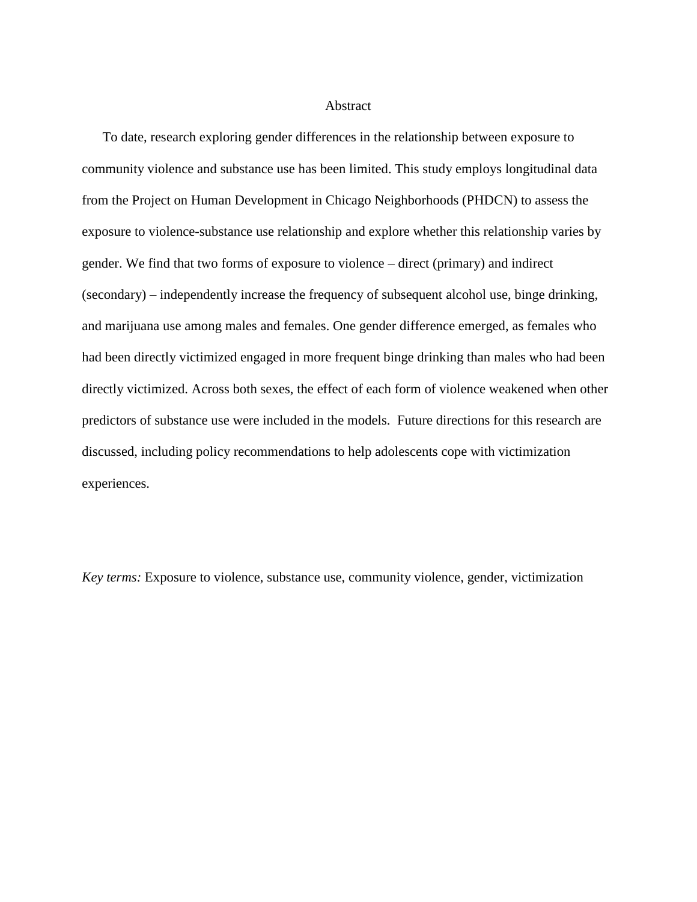#### Abstract

To date, research exploring gender differences in the relationship between exposure to community violence and substance use has been limited. This study employs longitudinal data from the Project on Human Development in Chicago Neighborhoods (PHDCN) to assess the exposure to violence-substance use relationship and explore whether this relationship varies by gender. We find that two forms of exposure to violence – direct (primary) and indirect (secondary) – independently increase the frequency of subsequent alcohol use, binge drinking, and marijuana use among males and females. One gender difference emerged, as females who had been directly victimized engaged in more frequent binge drinking than males who had been directly victimized. Across both sexes, the effect of each form of violence weakened when other predictors of substance use were included in the models. Future directions for this research are discussed, including policy recommendations to help adolescents cope with victimization experiences.

*Key terms:* Exposure to violence, substance use, community violence, gender, victimization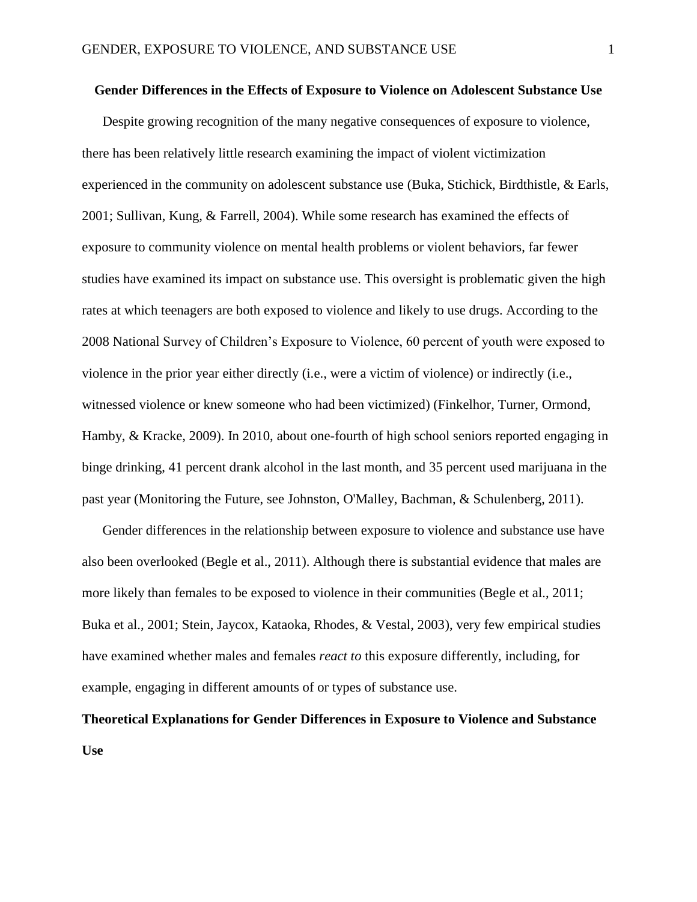#### **Gender Differences in the Effects of Exposure to Violence on Adolescent Substance Use**

Despite growing recognition of the many negative consequences of exposure to violence, there has been relatively little research examining the impact of violent victimization experienced in the community on adolescent substance use [\(Buka, Stichick, Birdthistle, & Earls,](#page-24-0)  [2001;](#page-24-0) [Sullivan, Kung, & Farrell, 2004\)](#page-28-0). While some research has examined the effects of exposure to community violence on mental health problems or violent behaviors, far fewer studies have examined its impact on substance use. This oversight is problematic given the high rates at which teenagers are both exposed to violence and likely to use drugs. According to the 2008 National Survey of Children's Exposure to Violence, 60 percent of youth were exposed to violence in the prior year either directly (i.e., were a victim of violence) or indirectly (i.e., witnessed violence or knew someone who had been victimized) [\(Finkelhor, Turner, Ormond,](#page-26-0)  [Hamby, & Kracke, 2009\)](#page-26-0). In 2010, about one-fourth of high school seniors reported engaging in binge drinking, 41 percent drank alcohol in the last month, and 35 percent used marijuana in the past year [\(Monitoring the Future, see Johnston, O'Malley, Bachman, & Schulenberg, 2011\)](#page-27-0).

Gender differences in the relationship between exposure to violence and substance use have also been overlooked [\(Begle et al., 2011\)](#page-24-1). Although there is substantial evidence that males are more likely than females to be exposed to violence in their communities [\(Begle et al., 2011;](#page-24-1) [Buka et al., 2001;](#page-24-0) [Stein, Jaycox, Kataoka, Rhodes, & Vestal, 2003\)](#page-28-1), very few empirical studies have examined whether males and females *react to* this exposure differently, including, for example, engaging in different amounts of or types of substance use.

# **Theoretical Explanations for Gender Differences in Exposure to Violence and Substance Use**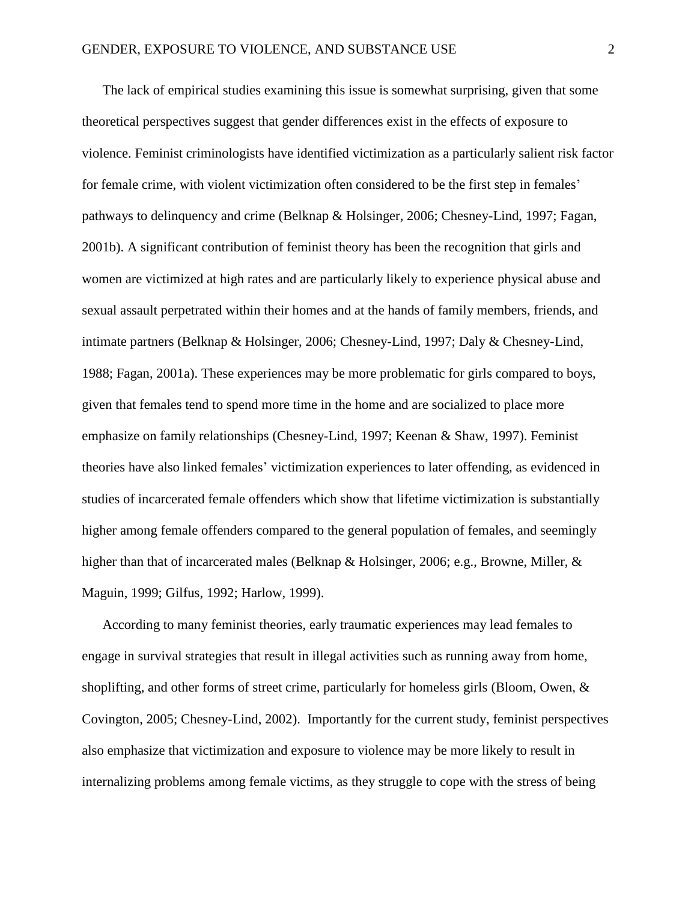The lack of empirical studies examining this issue is somewhat surprising, given that some theoretical perspectives suggest that gender differences exist in the effects of exposure to violence. Feminist criminologists have identified victimization as a particularly salient risk factor for female crime, with violent victimization often considered to be the first step in females' pathways to delinquency and crime [\(Belknap & Holsinger, 2006;](#page-24-2) [Chesney-Lind, 1997;](#page-25-0) [Fagan,](#page-25-1)  [2001b\)](#page-25-1). A significant contribution of feminist theory has been the recognition that girls and women are victimized at high rates and are particularly likely to experience physical abuse and sexual assault perpetrated within their homes and at the hands of family members, friends, and intimate partners [\(Belknap & Holsinger, 2006;](#page-24-2) [Chesney-Lind, 1997;](#page-25-0) [Daly & Chesney-Lind,](#page-25-2)  [1988;](#page-25-2) [Fagan, 2001a\)](#page-25-3). These experiences may be more problematic for girls compared to boys, given that females tend to spend more time in the home and are socialized to place more emphasize on family relationships [\(Chesney-Lind, 1997;](#page-25-0) [Keenan & Shaw, 1997\)](#page-27-1). Feminist theories have also linked females' victimization experiences to later offending, as evidenced in studies of incarcerated female offenders which show that lifetime victimization is substantially higher among female offenders compared to the general population of females, and seemingly higher than that of incarcerated males [\(Belknap & Holsinger,](#page-24-2) 2006; e.g., Browne, Miller, & [Maguin, 1999;](#page-24-3) [Gilfus, 1992;](#page-26-1) [Harlow, 1999\)](#page-26-2).

According to many feminist theories, early traumatic experiences may lead females to engage in survival strategies that result in illegal activities such as running away from home, shoplifting, and other forms of street crime, particularly for homeless girls [\(Bloom, Owen, &](#page-24-4)  [Covington, 2005;](#page-24-4) [Chesney-Lind, 2002\)](#page-25-4). Importantly for the current study, feminist perspectives also emphasize that victimization and exposure to violence may be more likely to result in internalizing problems among female victims, as they struggle to cope with the stress of being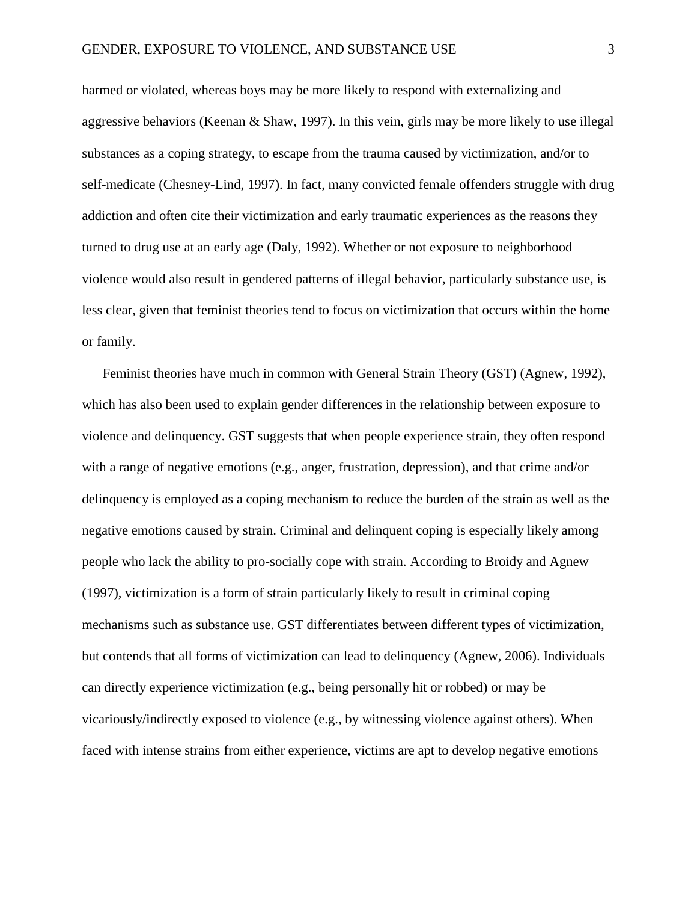harmed or violated, whereas boys may be more likely to respond with externalizing and aggressive behaviors [\(Keenan & Shaw, 1997\)](#page-27-1). In this vein, girls may be more likely to use illegal substances as a coping strategy, to escape from the trauma caused by victimization, and/or to self-medicate [\(Chesney-Lind, 1997\)](#page-25-0). In fact, many convicted female offenders struggle with drug addiction and often cite their victimization and early traumatic experiences as the reasons they turned to drug use at an early age [\(Daly, 1992\)](#page-25-5). Whether or not exposure to neighborhood violence would also result in gendered patterns of illegal behavior, particularly substance use, is less clear, given that feminist theories tend to focus on victimization that occurs within the home or family.

Feminist theories have much in common with General Strain Theory (GST) [\(Agnew, 1992\)](#page-24-5), which has also been used to explain gender differences in the relationship between exposure to violence and delinquency. GST suggests that when people experience strain, they often respond with a range of negative emotions (e.g., anger, frustration, depression), and that crime and/or delinquency is employed as a coping mechanism to reduce the burden of the strain as well as the negative emotions caused by strain. Criminal and delinquent coping is especially likely among people who lack the ability to pro-socially cope with strain. According to Broidy and Agnew [\(1997\)](#page-24-6), victimization is a form of strain particularly likely to result in criminal coping mechanisms such as substance use. GST differentiates between different types of victimization, but contends that all forms of victimization can lead to delinquency [\(Agnew, 2006\)](#page-24-7). Individuals can directly experience victimization (e.g., being personally hit or robbed) or may be vicariously/indirectly exposed to violence (e.g., by witnessing violence against others). When faced with intense strains from either experience, victims are apt to develop negative emotions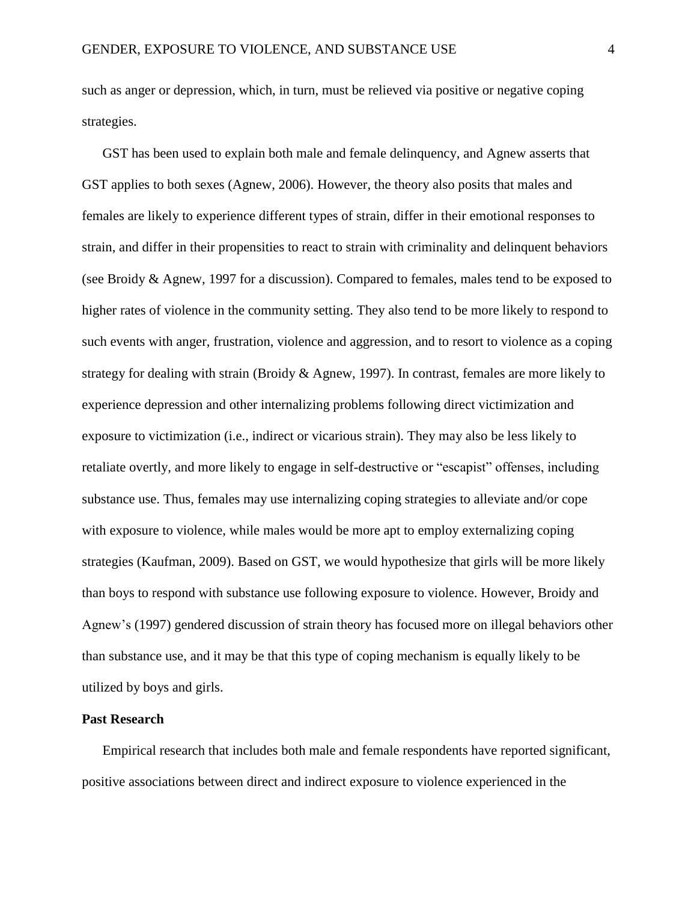such as anger or depression, which, in turn, must be relieved via positive or negative coping strategies.

GST has been used to explain both male and female delinquency, and Agnew asserts that GST applies to both sexes [\(Agnew, 2006\)](#page-24-7). However, the theory also posits that males and females are likely to experience different types of strain, differ in their emotional responses to strain, and differ in their propensities to react to strain with criminality and delinquent behaviors [\(see Broidy & Agnew, 1997 for a discussion\)](#page-24-6). Compared to females, males tend to be exposed to higher rates of violence in the community setting. They also tend to be more likely to respond to such events with anger, frustration, violence and aggression, and to resort to violence as a coping strategy for dealing with strain [\(Broidy & Agnew, 1997\)](#page-24-6). In contrast, females are more likely to experience depression and other internalizing problems following direct victimization and exposure to victimization (i.e., indirect or vicarious strain). They may also be less likely to retaliate overtly, and more likely to engage in self-destructive or "escapist" offenses, including substance use. Thus, females may use internalizing coping strategies to alleviate and/or cope with exposure to violence, while males would be more apt to employ externalizing coping strategies [\(Kaufman, 2009\)](#page-27-2). Based on GST, we would hypothesize that girls will be more likely than boys to respond with substance use following exposure to violence. However, Broidy and Agnew's [\(1997\)](#page-24-6) gendered discussion of strain theory has focused more on illegal behaviors other than substance use, and it may be that this type of coping mechanism is equally likely to be utilized by boys and girls.

### **Past Research**

Empirical research that includes both male and female respondents have reported significant, positive associations between direct and indirect exposure to violence experienced in the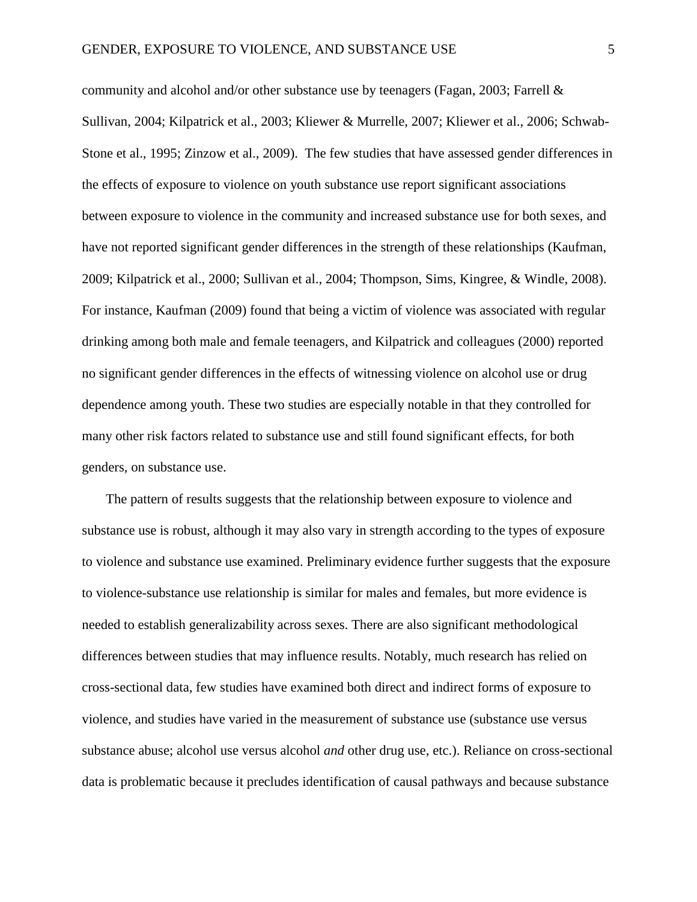community and alcohol and/or other substance use by teenagers [\(Fagan, 2003;](#page-25-6) Farrell  $\&$ [Sullivan, 2004;](#page-25-7) [Kilpatrick et al., 2003;](#page-27-3) [Kliewer & Murrelle, 2007;](#page-27-4) [Kliewer et al., 2006;](#page-27-5) [Schwab-](#page-28-2)[Stone et al., 1995;](#page-28-2) [Zinzow et al., 2009\)](#page-28-3). The few studies that have assessed gender differences in the effects of exposure to violence on youth substance use report significant associations between exposure to violence in the community and increased substance use for both sexes, and have not reported significant gender differences in the strength of these relationships [\(Kaufman,](#page-27-2)  [2009;](#page-27-2) [Kilpatrick et al., 2000;](#page-27-6) [Sullivan et al., 2004;](#page-28-0) [Thompson, Sims, Kingree, & Windle, 2008\)](#page-28-4). For instance, Kaufman [\(2009\)](#page-27-2) found that being a victim of violence was associated with regular drinking among both male and female teenagers, and Kilpatrick and colleagues [\(2000\)](#page-27-6) reported no significant gender differences in the effects of witnessing violence on alcohol use or drug dependence among youth. These two studies are especially notable in that they controlled for many other risk factors related to substance use and still found significant effects, for both genders, on substance use.

The pattern of results suggests that the relationship between exposure to violence and substance use is robust, although it may also vary in strength according to the types of exposure to violence and substance use examined. Preliminary evidence further suggests that the exposure to violence-substance use relationship is similar for males and females, but more evidence is needed to establish generalizability across sexes. There are also significant methodological differences between studies that may influence results. Notably, much research has relied on cross-sectional data, few studies have examined both direct and indirect forms of exposure to violence, and studies have varied in the measurement of substance use (substance use versus substance abuse; alcohol use versus alcohol *and* other drug use, etc.). Reliance on cross-sectional data is problematic because it precludes identification of causal pathways and because substance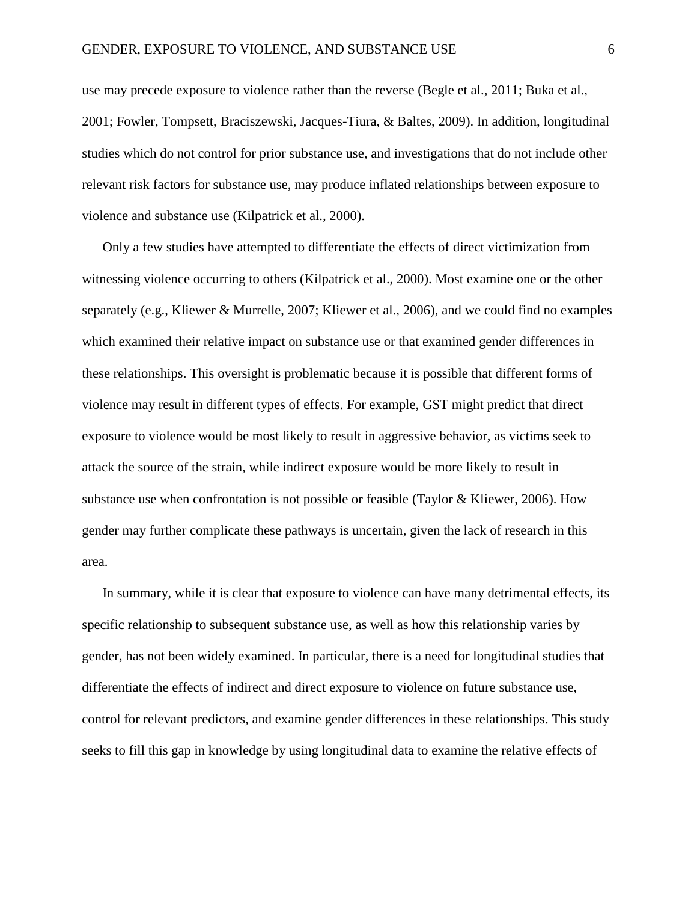use may precede exposure to violence rather than the reverse [\(Begle et al., 2011;](#page-24-1) [Buka et al.,](#page-24-0)  [2001;](#page-24-0) [Fowler, Tompsett, Braciszewski, Jacques-Tiura, & Baltes, 2009\)](#page-26-3). In addition, longitudinal studies which do not control for prior substance use, and investigations that do not include other relevant risk factors for substance use, may produce inflated relationships between exposure to violence and substance use [\(Kilpatrick et al., 2000\)](#page-27-6).

Only a few studies have attempted to differentiate the effects of direct victimization from witnessing violence occurring to others [\(Kilpatrick et al., 2000\)](#page-27-6). Most examine one or the other separately (e.g., [Kliewer & Murrelle, 2007;](#page-27-4) [Kliewer et al., 2006\)](#page-27-5), and we could find no examples which examined their relative impact on substance use or that examined gender differences in these relationships. This oversight is problematic because it is possible that different forms of violence may result in different types of effects. For example, GST might predict that direct exposure to violence would be most likely to result in aggressive behavior, as victims seek to attack the source of the strain, while indirect exposure would be more likely to result in substance use when confrontation is not possible or feasible [\(Taylor & Kliewer, 2006\)](#page-28-5). How gender may further complicate these pathways is uncertain, given the lack of research in this area.

In summary, while it is clear that exposure to violence can have many detrimental effects, its specific relationship to subsequent substance use, as well as how this relationship varies by gender, has not been widely examined. In particular, there is a need for longitudinal studies that differentiate the effects of indirect and direct exposure to violence on future substance use, control for relevant predictors, and examine gender differences in these relationships. This study seeks to fill this gap in knowledge by using longitudinal data to examine the relative effects of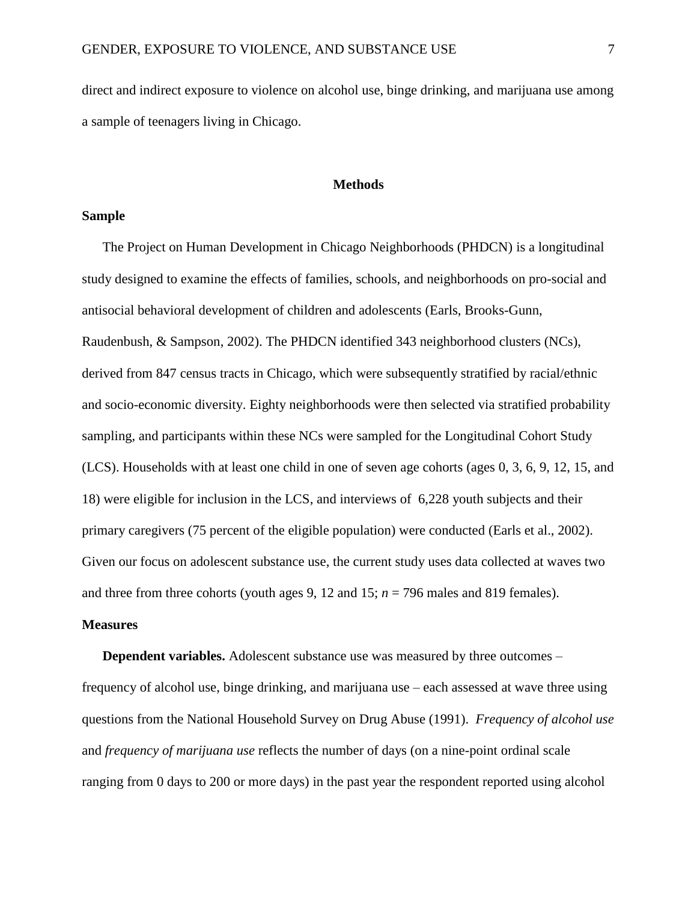direct and indirect exposure to violence on alcohol use, binge drinking, and marijuana use among a sample of teenagers living in Chicago.

#### **Methods**

#### **Sample**

The Project on Human Development in Chicago Neighborhoods (PHDCN) is a longitudinal study designed to examine the effects of families, schools, and neighborhoods on pro-social and antisocial behavioral development of children and adolescents [\(Earls, Brooks-Gunn,](#page-25-8)  [Raudenbush, & Sampson, 2002\)](#page-25-8). The PHDCN identified 343 neighborhood clusters (NCs), derived from 847 census tracts in Chicago, which were subsequently stratified by racial/ethnic and socio-economic diversity. Eighty neighborhoods were then selected via stratified probability sampling, and participants within these NCs were sampled for the Longitudinal Cohort Study (LCS). Households with at least one child in one of seven age cohorts (ages 0, 3, 6, 9, 12, 15, and 18) were eligible for inclusion in the LCS, and interviews of 6,228 youth subjects and their primary caregivers (75 percent of the eligible population) were conducted [\(Earls et al., 2002\)](#page-25-8). Given our focus on adolescent substance use, the current study uses data collected at waves two and three from three cohorts (youth ages 9, 12 and 15;  $n = 796$  males and 819 females).

#### **Measures**

**Dependent variables.** Adolescent substance use was measured by three outcomes – frequency of alcohol use, binge drinking, and marijuana use – each assessed at wave three using questions from the National Household Survey on Drug Abuse [\(1991\)](#page-27-7). *Frequency of alcohol use* and *frequency of marijuana use* reflects the number of days (on a nine-point ordinal scale ranging from 0 days to 200 or more days) in the past year the respondent reported using alcohol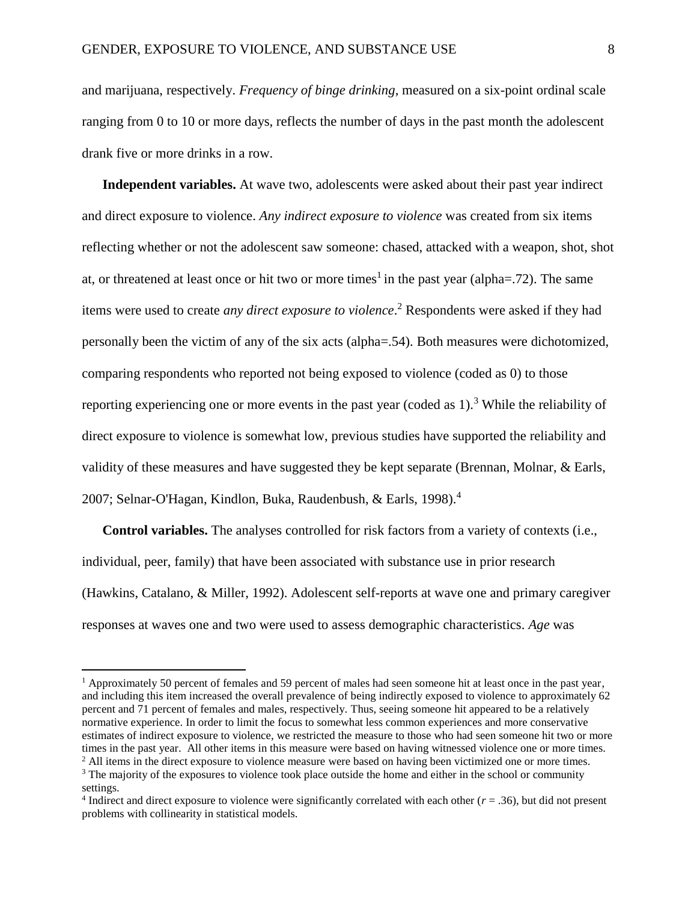and marijuana, respectively. *Frequency of binge drinking*, measured on a six-point ordinal scale ranging from 0 to 10 or more days, reflects the number of days in the past month the adolescent drank five or more drinks in a row.

**Independent variables.** At wave two, adolescents were asked about their past year indirect and direct exposure to violence. *Any indirect exposure to violence* was created from six items reflecting whether or not the adolescent saw someone: chased, attacked with a weapon, shot, shot at, or threatened at least once or hit two or more times<sup>1</sup> in the past year (alpha=.72). The same items were used to create *any direct exposure to violence*. <sup>2</sup> Respondents were asked if they had personally been the victim of any of the six acts (alpha=.54). Both measures were dichotomized, comparing respondents who reported not being exposed to violence (coded as 0) to those reporting experiencing one or more events in the past year (coded as  $1$ ).<sup>3</sup> While the reliability of direct exposure to violence is somewhat low, previous studies have supported the reliability and validity of these measures and have suggested they be kept separate [\(Brennan, Molnar, & Earls,](#page-24-8)  [2007;](#page-24-8) [Selnar-O'Hagan, Kindlon, Buka, Raudenbush, & Earls, 1998\)](#page-28-6). 4

**Control variables.** The analyses controlled for risk factors from a variety of contexts (i.e., individual, peer, family) that have been associated with substance use in prior research [\(Hawkins, Catalano, & Miller, 1992\)](#page-26-4). Adolescent self-reports at wave one and primary caregiver responses at waves one and two were used to assess demographic characteristics. *Age* was

l

<sup>&</sup>lt;sup>1</sup> Approximately 50 percent of females and 59 percent of males had seen someone hit at least once in the past year, and including this item increased the overall prevalence of being indirectly exposed to violence to approximately 62 percent and 71 percent of females and males, respectively. Thus, seeing someone hit appeared to be a relatively normative experience. In order to limit the focus to somewhat less common experiences and more conservative estimates of indirect exposure to violence, we restricted the measure to those who had seen someone hit two or more times in the past year. All other items in this measure were based on having witnessed violence one or more times. <sup>2</sup> All items in the direct exposure to violence measure were based on having been victimized one or more times.  $3$  The majority of the exposures to violence took place outside the home and either in the school or community

settings.

<sup>&</sup>lt;sup>4</sup> Indirect and direct exposure to violence were significantly correlated with each other  $(r = .36)$ , but did not present problems with collinearity in statistical models.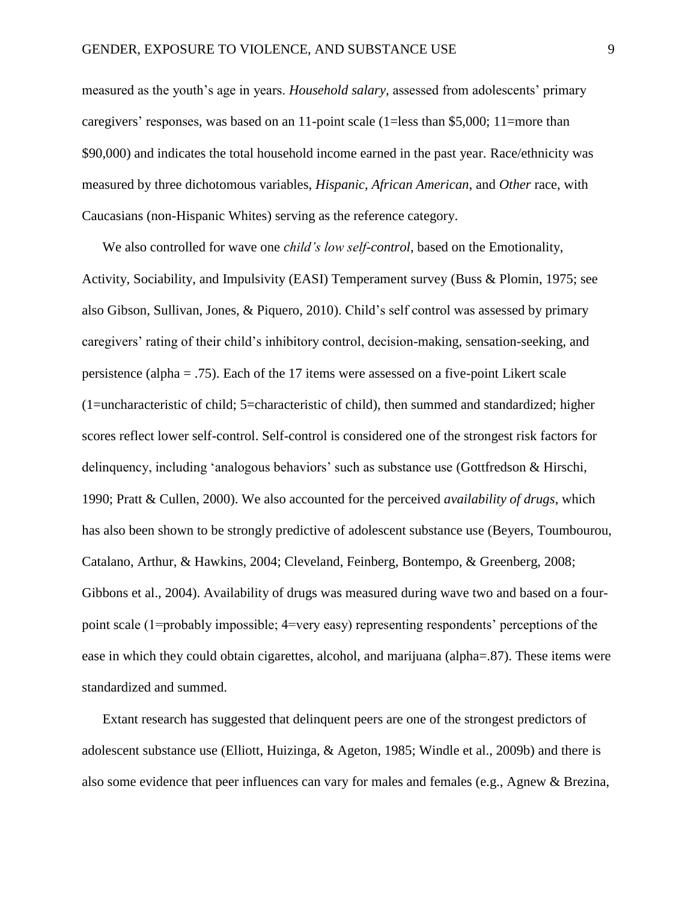measured as the youth's age in years. *Household salary,* assessed from adolescents' primary caregivers' responses, was based on an 11-point scale (1=less than \$5,000; 11=more than \$90,000) and indicates the total household income earned in the past year. Race/ethnicity was measured by three dichotomous variables, *Hispanic*, *African American*, and *Other* race, with Caucasians (non-Hispanic Whites) serving as the reference category.

We also controlled for wave one *child's low self-control*, based on the Emotionality, Activity, Sociability, and Impulsivity (EASI) Temperament survey [\(Buss & Plomin, 1975;](#page-24-9) [see](#page-26-5)  [also Gibson, Sullivan, Jones, & Piquero, 2010\)](#page-26-5). Child's self control was assessed by primary caregivers' rating of their child's inhibitory control, decision-making, sensation-seeking, and persistence (alpha = .75). Each of the 17 items were assessed on a five-point Likert scale (1=uncharacteristic of child; 5=characteristic of child), then summed and standardized; higher scores reflect lower self-control. Self-control is considered one of the strongest risk factors for delinquency, including 'analogous behaviors' such as substance use [\(Gottfredson & Hirschi,](#page-26-6)  [1990;](#page-26-6) [Pratt & Cullen, 2000\)](#page-27-8). We also accounted for the perceived *availability of drugs*, which has also been shown to be strongly predictive of adolescent substance use [\(Beyers, Toumbourou,](#page-24-10)  [Catalano, Arthur, & Hawkins, 2004;](#page-24-10) [Cleveland, Feinberg, Bontempo, & Greenberg, 2008;](#page-25-9) [Gibbons et al., 2004\)](#page-26-7). Availability of drugs was measured during wave two and based on a fourpoint scale (1=probably impossible; 4=very easy) representing respondents' perceptions of the ease in which they could obtain cigarettes, alcohol, and marijuana (alpha=.87). These items were standardized and summed.

Extant research has suggested that delinquent peers are one of the strongest predictors of adolescent substance use [\(Elliott, Huizinga, & Ageton, 1985;](#page-25-10) [Windle et al., 2009b\)](#page-28-7) and there is also some evidence that peer influences can vary for males and females (e.g., [Agnew & Brezina,](#page-24-11)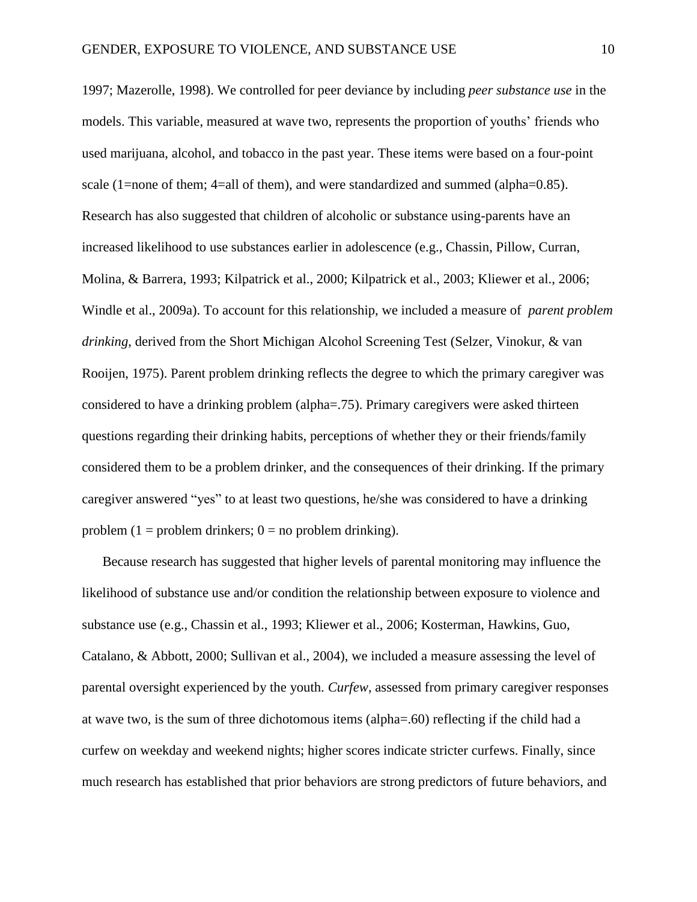[1997;](#page-24-11) [Mazerolle, 1998\)](#page-27-9). We controlled for peer deviance by including *peer substance use* in the models. This variable, measured at wave two, represents the proportion of youths' friends who used marijuana, alcohol, and tobacco in the past year. These items were based on a four-point scale (1=none of them; 4=all of them), and were standardized and summed (alpha=0.85). Research has also suggested that children of alcoholic or substance using-parents have an increased likelihood to use substances earlier in adolescence (e.g., [Chassin, Pillow, Curran,](#page-25-11)  [Molina, & Barrera, 1993;](#page-25-11) [Kilpatrick et al., 2000;](#page-27-6) [Kilpatrick et al., 2003;](#page-27-3) [Kliewer et al., 2006;](#page-27-5) [Windle et al., 2009a\)](#page-28-8). To account for this relationship, we included a measure of *parent problem drinking*, derived from the Short Michigan Alcohol Screening Test [\(Selzer, Vinokur, & van](#page-28-9)  [Rooijen, 1975\)](#page-28-9). Parent problem drinking reflects the degree to which the primary caregiver was considered to have a drinking problem (alpha=.75). Primary caregivers were asked thirteen questions regarding their drinking habits, perceptions of whether they or their friends/family considered them to be a problem drinker, and the consequences of their drinking. If the primary caregiver answered "yes" to at least two questions, he/she was considered to have a drinking problem (1 = problem drinkers;  $0 =$  no problem drinking).

Because research has suggested that higher levels of parental monitoring may influence the likelihood of substance use and/or condition the relationship between exposure to violence and substance use [\(e.g., Chassin et al., 1993;](#page-25-11) [Kliewer et al., 2006;](#page-27-5) [Kosterman, Hawkins, Guo,](#page-27-10)  [Catalano, & Abbott, 2000;](#page-27-10) [Sullivan et al., 2004\)](#page-28-0), we included a measure assessing the level of parental oversight experienced by the youth. *Curfew*, assessed from primary caregiver responses at wave two, is the sum of three dichotomous items (alpha=.60) reflecting if the child had a curfew on weekday and weekend nights; higher scores indicate stricter curfews. Finally, since much research has established that prior behaviors are strong predictors of future behaviors, and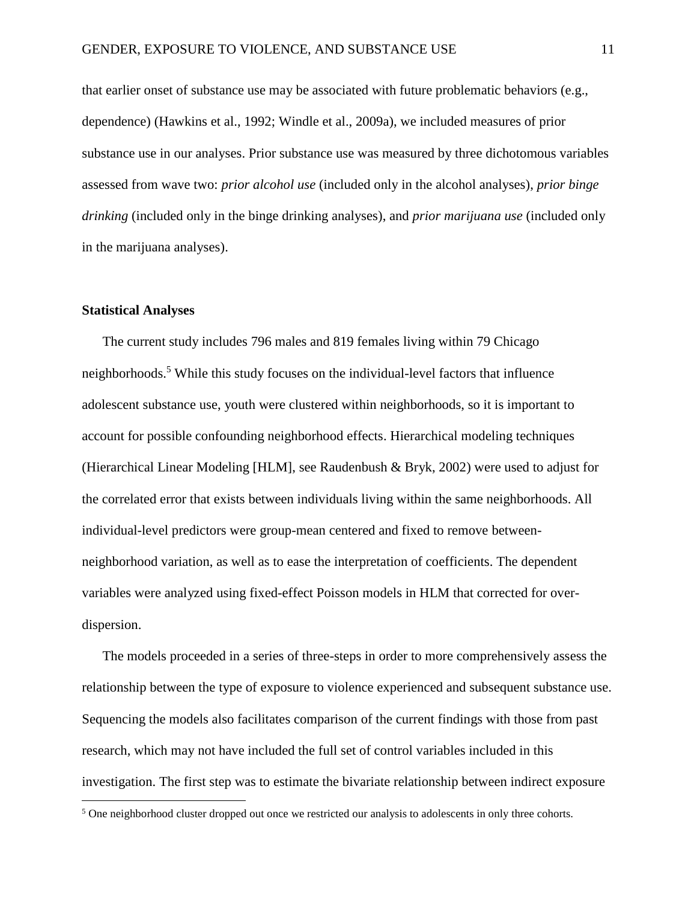that earlier onset of substance use may be associated with future problematic behaviors (e.g., dependence) [\(Hawkins et al., 1992;](#page-26-4) [Windle et al., 2009a\)](#page-28-8), we included measures of prior substance use in our analyses. Prior substance use was measured by three dichotomous variables assessed from wave two: *prior alcohol use* (included only in the alcohol analyses), *prior binge drinking* (included only in the binge drinking analyses), and *prior marijuana use* (included only in the marijuana analyses).

#### **Statistical Analyses**

 $\overline{\phantom{a}}$ 

The current study includes 796 males and 819 females living within 79 Chicago neighborhoods.<sup>5</sup> While this study focuses on the individual-level factors that influence adolescent substance use, youth were clustered within neighborhoods, so it is important to account for possible confounding neighborhood effects. Hierarchical modeling techniques [\(Hierarchical Linear Modeling \[HLM\], see Raudenbush & Bryk, 2002\)](#page-27-11) were used to adjust for the correlated error that exists between individuals living within the same neighborhoods. All individual-level predictors were group-mean centered and fixed to remove betweenneighborhood variation, as well as to ease the interpretation of coefficients. The dependent variables were analyzed using fixed-effect Poisson models in HLM that corrected for overdispersion.

The models proceeded in a series of three-steps in order to more comprehensively assess the relationship between the type of exposure to violence experienced and subsequent substance use. Sequencing the models also facilitates comparison of the current findings with those from past research, which may not have included the full set of control variables included in this investigation. The first step was to estimate the bivariate relationship between indirect exposure

<sup>&</sup>lt;sup>5</sup> One neighborhood cluster dropped out once we restricted our analysis to adolescents in only three cohorts.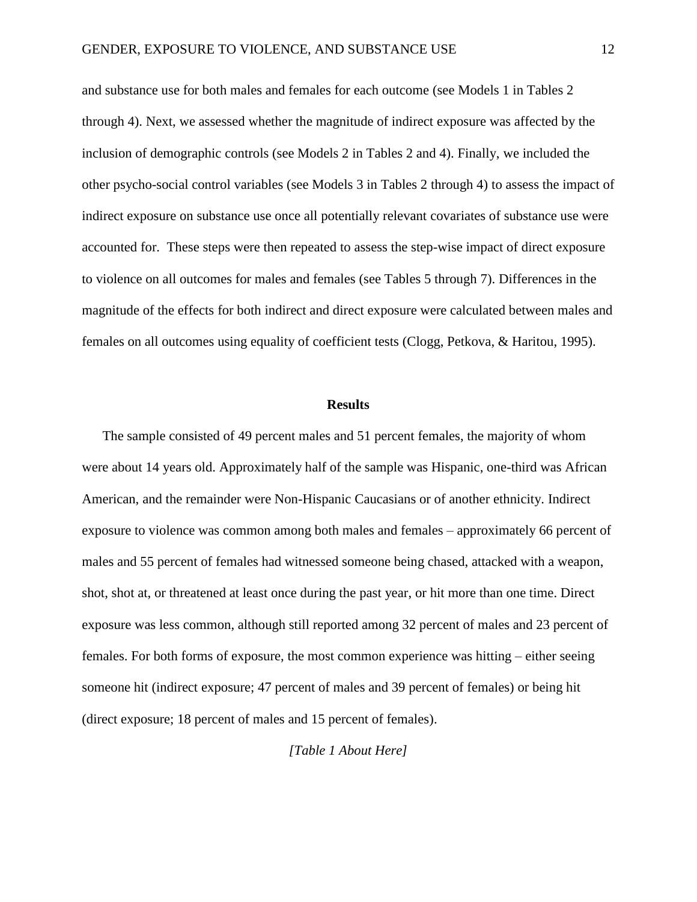and substance use for both males and females for each outcome (see Models 1 in Tables 2 through 4). Next, we assessed whether the magnitude of indirect exposure was affected by the inclusion of demographic controls (see Models 2 in Tables 2 and 4). Finally, we included the other psycho-social control variables (see Models 3 in Tables 2 through 4) to assess the impact of indirect exposure on substance use once all potentially relevant covariates of substance use were accounted for. These steps were then repeated to assess the step-wise impact of direct exposure to violence on all outcomes for males and females (see Tables 5 through 7). Differences in the magnitude of the effects for both indirect and direct exposure were calculated between males and females on all outcomes using equality of coefficient tests [\(Clogg, Petkova, & Haritou, 1995\)](#page-25-12).

#### **Results**

The sample consisted of 49 percent males and 51 percent females, the majority of whom were about 14 years old. Approximately half of the sample was Hispanic, one-third was African American, and the remainder were Non-Hispanic Caucasians or of another ethnicity. Indirect exposure to violence was common among both males and females – approximately 66 percent of males and 55 percent of females had witnessed someone being chased, attacked with a weapon, shot, shot at, or threatened at least once during the past year, or hit more than one time. Direct exposure was less common, although still reported among 32 percent of males and 23 percent of females. For both forms of exposure, the most common experience was hitting – either seeing someone hit (indirect exposure; 47 percent of males and 39 percent of females) or being hit (direct exposure; 18 percent of males and 15 percent of females).

*[Table 1 About Here]*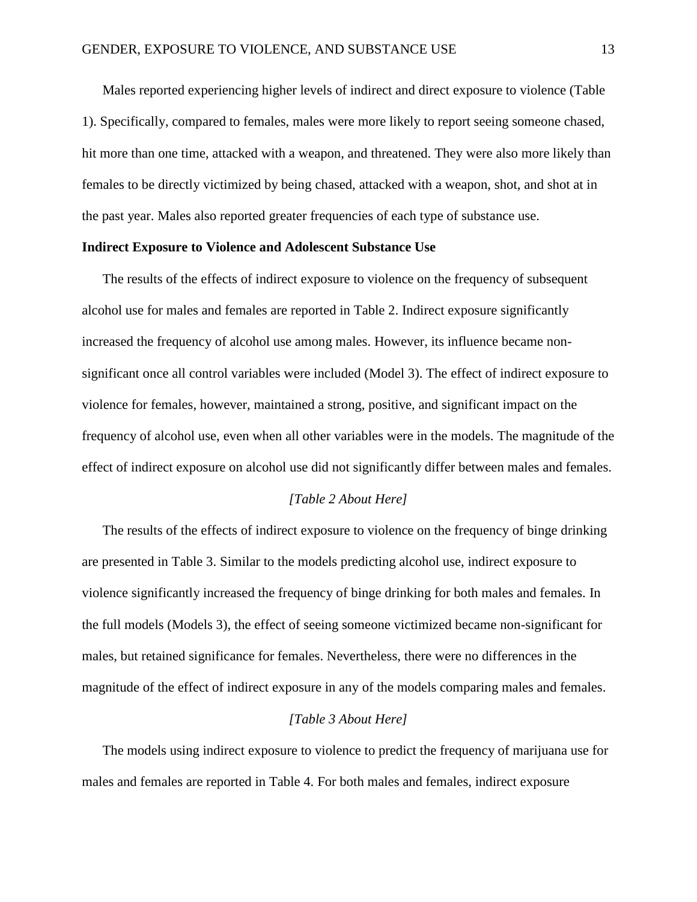Males reported experiencing higher levels of indirect and direct exposure to violence (Table 1). Specifically, compared to females, males were more likely to report seeing someone chased, hit more than one time, attacked with a weapon, and threatened. They were also more likely than females to be directly victimized by being chased, attacked with a weapon, shot, and shot at in the past year. Males also reported greater frequencies of each type of substance use.

#### **Indirect Exposure to Violence and Adolescent Substance Use**

The results of the effects of indirect exposure to violence on the frequency of subsequent alcohol use for males and females are reported in Table 2. Indirect exposure significantly increased the frequency of alcohol use among males. However, its influence became nonsignificant once all control variables were included (Model 3). The effect of indirect exposure to violence for females, however, maintained a strong, positive, and significant impact on the frequency of alcohol use, even when all other variables were in the models. The magnitude of the effect of indirect exposure on alcohol use did not significantly differ between males and females.

#### *[Table 2 About Here]*

The results of the effects of indirect exposure to violence on the frequency of binge drinking are presented in Table 3. Similar to the models predicting alcohol use, indirect exposure to violence significantly increased the frequency of binge drinking for both males and females. In the full models (Models 3), the effect of seeing someone victimized became non-significant for males, but retained significance for females. Nevertheless, there were no differences in the magnitude of the effect of indirect exposure in any of the models comparing males and females.

#### *[Table 3 About Here]*

The models using indirect exposure to violence to predict the frequency of marijuana use for males and females are reported in Table 4. For both males and females, indirect exposure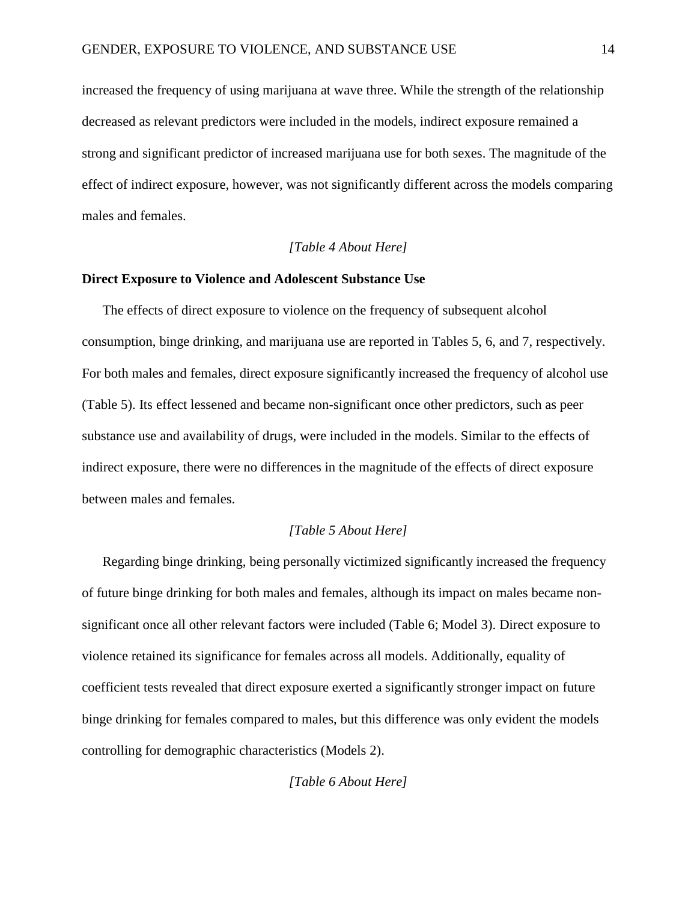increased the frequency of using marijuana at wave three. While the strength of the relationship decreased as relevant predictors were included in the models, indirect exposure remained a strong and significant predictor of increased marijuana use for both sexes. The magnitude of the effect of indirect exposure, however, was not significantly different across the models comparing males and females.

#### *[Table 4 About Here]*

#### **Direct Exposure to Violence and Adolescent Substance Use**

The effects of direct exposure to violence on the frequency of subsequent alcohol consumption, binge drinking, and marijuana use are reported in Tables 5, 6, and 7, respectively. For both males and females, direct exposure significantly increased the frequency of alcohol use (Table 5). Its effect lessened and became non-significant once other predictors, such as peer substance use and availability of drugs, were included in the models. Similar to the effects of indirect exposure, there were no differences in the magnitude of the effects of direct exposure between males and females.

# *[Table 5 About Here]*

Regarding binge drinking, being personally victimized significantly increased the frequency of future binge drinking for both males and females, although its impact on males became nonsignificant once all other relevant factors were included (Table 6; Model 3). Direct exposure to violence retained its significance for females across all models. Additionally, equality of coefficient tests revealed that direct exposure exerted a significantly stronger impact on future binge drinking for females compared to males, but this difference was only evident the models controlling for demographic characteristics (Models 2).

*[Table 6 About Here]*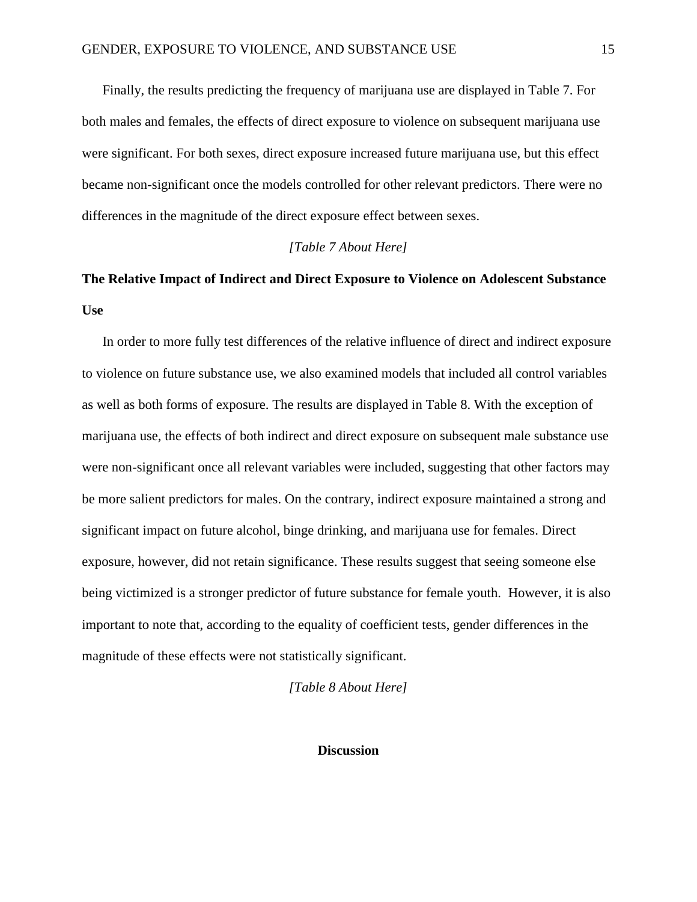Finally, the results predicting the frequency of marijuana use are displayed in Table 7. For both males and females, the effects of direct exposure to violence on subsequent marijuana use were significant. For both sexes, direct exposure increased future marijuana use, but this effect became non-significant once the models controlled for other relevant predictors. There were no differences in the magnitude of the direct exposure effect between sexes.

### *[Table 7 About Here]*

# **The Relative Impact of Indirect and Direct Exposure to Violence on Adolescent Substance Use**

In order to more fully test differences of the relative influence of direct and indirect exposure to violence on future substance use, we also examined models that included all control variables as well as both forms of exposure. The results are displayed in Table 8. With the exception of marijuana use, the effects of both indirect and direct exposure on subsequent male substance use were non-significant once all relevant variables were included, suggesting that other factors may be more salient predictors for males. On the contrary, indirect exposure maintained a strong and significant impact on future alcohol, binge drinking, and marijuana use for females. Direct exposure, however, did not retain significance. These results suggest that seeing someone else being victimized is a stronger predictor of future substance for female youth. However, it is also important to note that, according to the equality of coefficient tests, gender differences in the magnitude of these effects were not statistically significant.

*[Table 8 About Here]*

## **Discussion**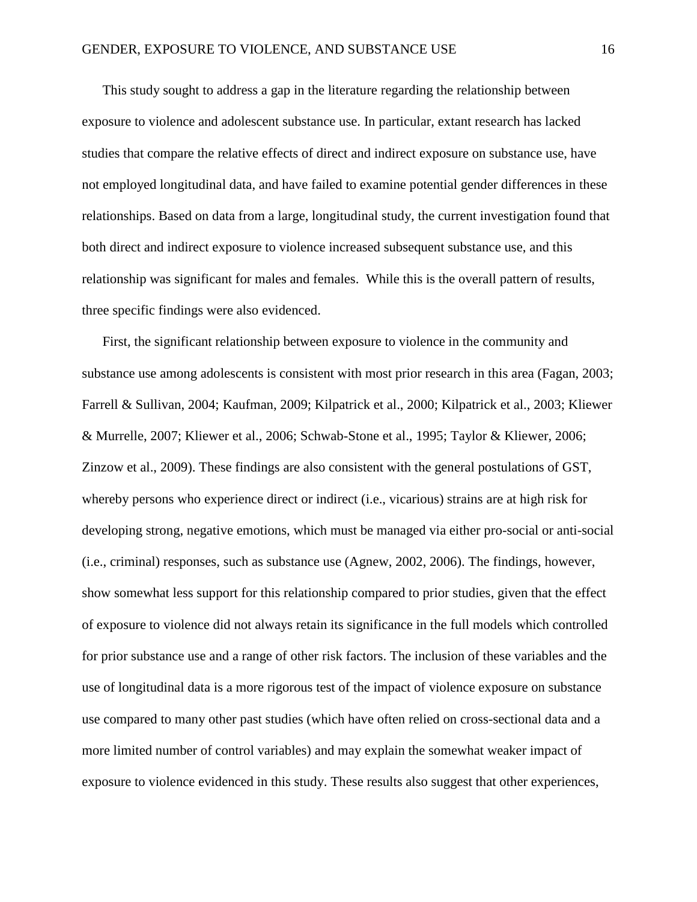This study sought to address a gap in the literature regarding the relationship between exposure to violence and adolescent substance use. In particular, extant research has lacked studies that compare the relative effects of direct and indirect exposure on substance use, have not employed longitudinal data, and have failed to examine potential gender differences in these relationships. Based on data from a large, longitudinal study, the current investigation found that both direct and indirect exposure to violence increased subsequent substance use, and this relationship was significant for males and females. While this is the overall pattern of results, three specific findings were also evidenced.

First, the significant relationship between exposure to violence in the community and substance use among adolescents is consistent with most prior research in this area [\(Fagan, 2003;](#page-25-6) [Farrell & Sullivan, 2004;](#page-25-7) [Kaufman, 2009;](#page-27-2) [Kilpatrick et al., 2000;](#page-27-6) [Kilpatrick et al., 2003;](#page-27-3) [Kliewer](#page-27-4)  [& Murrelle, 2007;](#page-27-4) [Kliewer et al., 2006;](#page-27-5) [Schwab-Stone et al., 1995;](#page-28-2) [Taylor & Kliewer, 2006;](#page-28-5) [Zinzow et al., 2009\)](#page-28-3). These findings are also consistent with the general postulations of GST, whereby persons who experience direct or indirect (i.e., vicarious) strains are at high risk for developing strong, negative emotions, which must be managed via either pro-social or anti-social (i.e., criminal) responses, such as substance use [\(Agnew, 2002,](#page-24-12) [2006\)](#page-24-7). The findings, however, show somewhat less support for this relationship compared to prior studies, given that the effect of exposure to violence did not always retain its significance in the full models which controlled for prior substance use and a range of other risk factors. The inclusion of these variables and the use of longitudinal data is a more rigorous test of the impact of violence exposure on substance use compared to many other past studies (which have often relied on cross-sectional data and a more limited number of control variables) and may explain the somewhat weaker impact of exposure to violence evidenced in this study. These results also suggest that other experiences,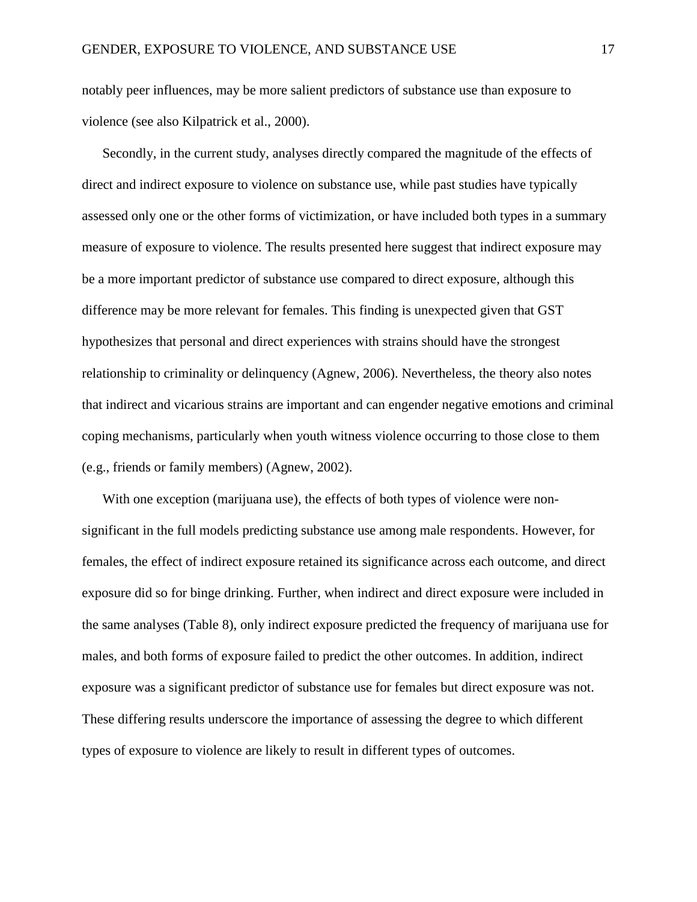notably peer influences, may be more salient predictors of substance use than exposure to violence [\(see also Kilpatrick et al., 2000\)](#page-27-6).

Secondly, in the current study, analyses directly compared the magnitude of the effects of direct and indirect exposure to violence on substance use, while past studies have typically assessed only one or the other forms of victimization, or have included both types in a summary measure of exposure to violence. The results presented here suggest that indirect exposure may be a more important predictor of substance use compared to direct exposure, although this difference may be more relevant for females. This finding is unexpected given that GST hypothesizes that personal and direct experiences with strains should have the strongest relationship to criminality or delinquency [\(Agnew, 2006\)](#page-24-7). Nevertheless, the theory also notes that indirect and vicarious strains are important and can engender negative emotions and criminal coping mechanisms, particularly when youth witness violence occurring to those close to them (e.g., friends or family members) [\(Agnew, 2002\)](#page-24-12).

With one exception (marijuana use), the effects of both types of violence were nonsignificant in the full models predicting substance use among male respondents. However, for females, the effect of indirect exposure retained its significance across each outcome, and direct exposure did so for binge drinking. Further, when indirect and direct exposure were included in the same analyses (Table 8), only indirect exposure predicted the frequency of marijuana use for males, and both forms of exposure failed to predict the other outcomes. In addition, indirect exposure was a significant predictor of substance use for females but direct exposure was not. These differing results underscore the importance of assessing the degree to which different types of exposure to violence are likely to result in different types of outcomes.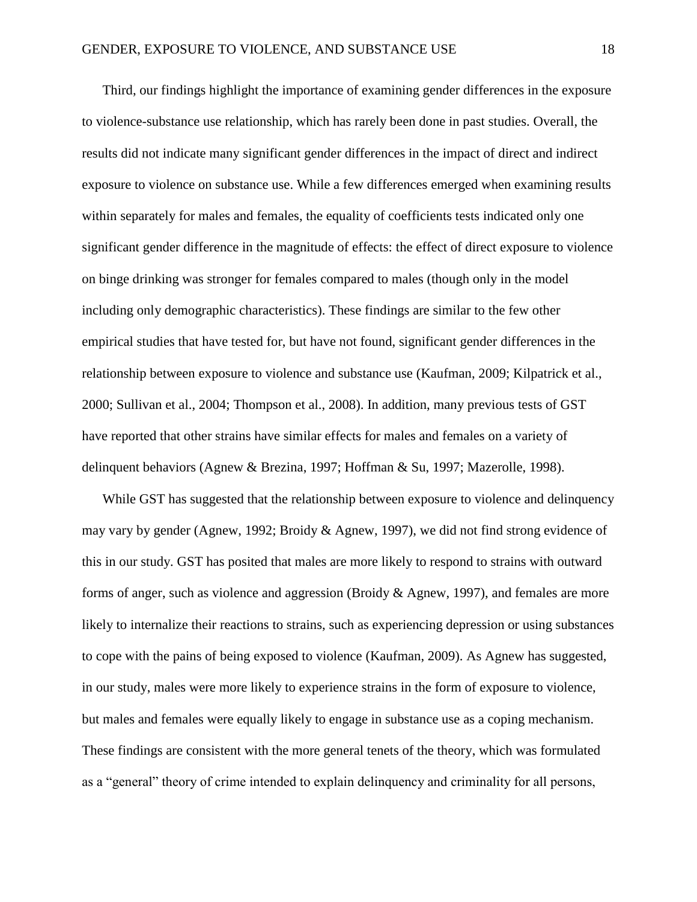Third, our findings highlight the importance of examining gender differences in the exposure to violence-substance use relationship, which has rarely been done in past studies. Overall, the results did not indicate many significant gender differences in the impact of direct and indirect exposure to violence on substance use. While a few differences emerged when examining results within separately for males and females, the equality of coefficients tests indicated only one significant gender difference in the magnitude of effects: the effect of direct exposure to violence on binge drinking was stronger for females compared to males (though only in the model including only demographic characteristics). These findings are similar to the few other empirical studies that have tested for, but have not found, significant gender differences in the relationship between exposure to violence and substance use [\(Kaufman, 2009;](#page-27-2) [Kilpatrick et al.,](#page-27-6)  [2000;](#page-27-6) [Sullivan et al., 2004;](#page-28-0) [Thompson et al., 2008\)](#page-28-4). In addition, many previous tests of GST have reported that other strains have similar effects for males and females on a variety of delinquent behaviors [\(Agnew & Brezina, 1997;](#page-24-11) [Hoffman & Su, 1997;](#page-27-12) [Mazerolle, 1998\)](#page-27-9).

While GST has suggested that the relationship between exposure to violence and delinquency may vary by gender [\(Agnew, 1992;](#page-24-5) [Broidy & Agnew, 1997\)](#page-24-6), we did not find strong evidence of this in our study. GST has posited that males are more likely to respond to strains with outward forms of anger, such as violence and aggression [\(Broidy & Agnew, 1997\)](#page-24-6), and females are more likely to internalize their reactions to strains, such as experiencing depression or using substances to cope with the pains of being exposed to violence [\(Kaufman, 2009\)](#page-27-2). As Agnew has suggested, in our study, males were more likely to experience strains in the form of exposure to violence, but males and females were equally likely to engage in substance use as a coping mechanism. These findings are consistent with the more general tenets of the theory, which was formulated as a "general" theory of crime intended to explain delinquency and criminality for all persons,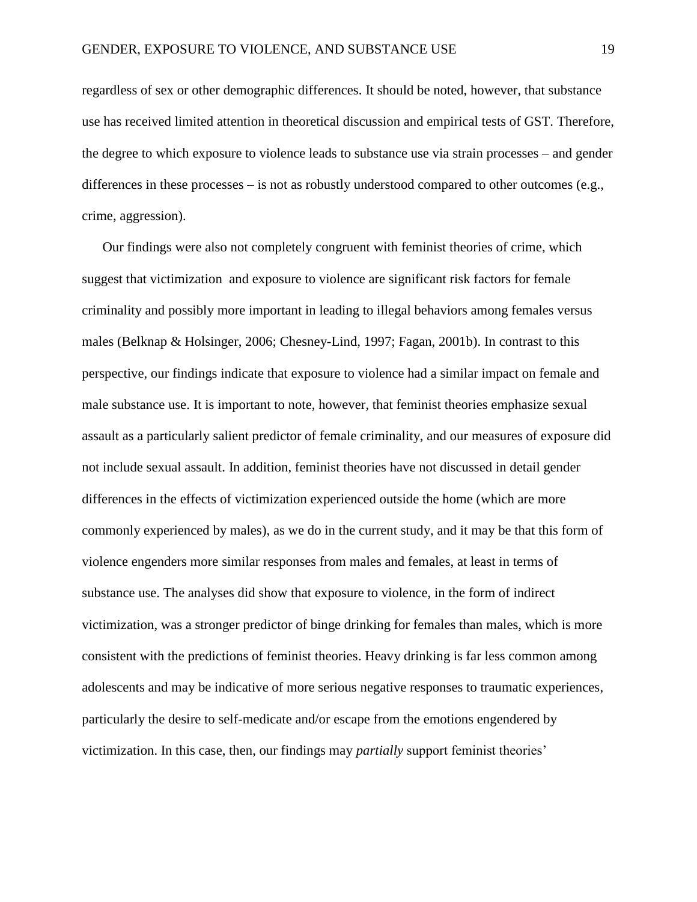regardless of sex or other demographic differences. It should be noted, however, that substance use has received limited attention in theoretical discussion and empirical tests of GST. Therefore, the degree to which exposure to violence leads to substance use via strain processes – and gender differences in these processes – is not as robustly understood compared to other outcomes (e.g., crime, aggression).

Our findings were also not completely congruent with feminist theories of crime, which suggest that victimization and exposure to violence are significant risk factors for female criminality and possibly more important in leading to illegal behaviors among females versus males [\(Belknap & Holsinger, 2006;](#page-24-2) [Chesney-Lind, 1997;](#page-25-0) [Fagan, 2001b\)](#page-25-1). In contrast to this perspective, our findings indicate that exposure to violence had a similar impact on female and male substance use. It is important to note, however, that feminist theories emphasize sexual assault as a particularly salient predictor of female criminality, and our measures of exposure did not include sexual assault. In addition, feminist theories have not discussed in detail gender differences in the effects of victimization experienced outside the home (which are more commonly experienced by males), as we do in the current study, and it may be that this form of violence engenders more similar responses from males and females, at least in terms of substance use. The analyses did show that exposure to violence, in the form of indirect victimization, was a stronger predictor of binge drinking for females than males, which is more consistent with the predictions of feminist theories. Heavy drinking is far less common among adolescents and may be indicative of more serious negative responses to traumatic experiences, particularly the desire to self-medicate and/or escape from the emotions engendered by victimization. In this case, then, our findings may *partially* support feminist theories'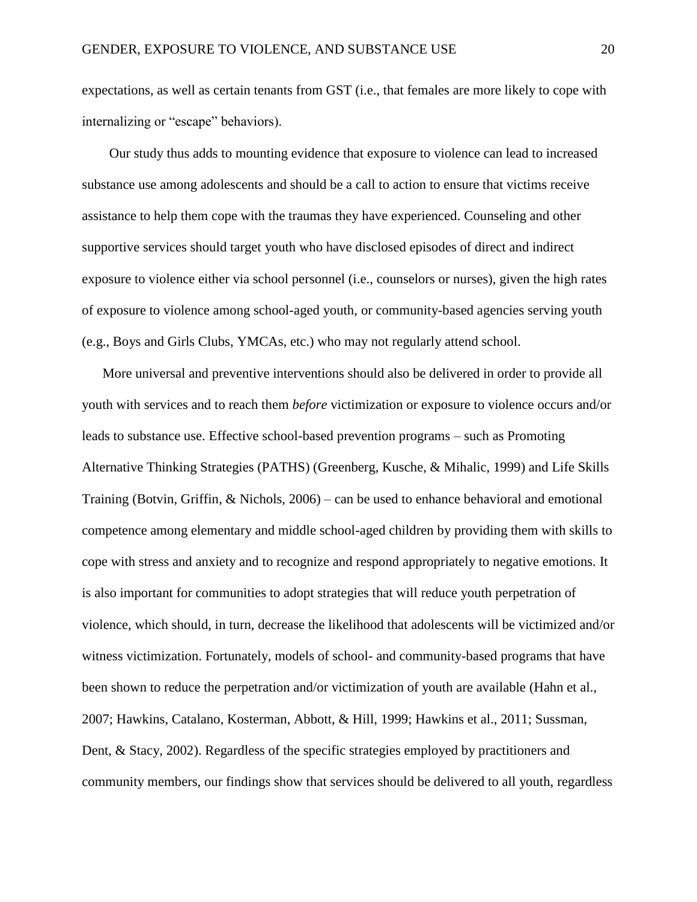expectations, as well as certain tenants from GST (i.e., that females are more likely to cope with internalizing or "escape" behaviors).

Our study thus adds to mounting evidence that exposure to violence can lead to increased substance use among adolescents and should be a call to action to ensure that victims receive assistance to help them cope with the traumas they have experienced. Counseling and other supportive services should target youth who have disclosed episodes of direct and indirect exposure to violence either via school personnel (i.e., counselors or nurses), given the high rates of exposure to violence among school-aged youth, or community-based agencies serving youth (e.g., Boys and Girls Clubs, YMCAs, etc.) who may not regularly attend school.

More universal and preventive interventions should also be delivered in order to provide all youth with services and to reach them *before* victimization or exposure to violence occurs and/or leads to substance use. Effective school-based prevention programs – such as Promoting Alternative Thinking Strategies (PATHS) [\(Greenberg, Kusche, & Mihalic, 1999\)](#page-26-8) and Life Skills Training [\(Botvin, Griffin, & Nichols, 2006\)](#page-24-13) – can be used to enhance behavioral and emotional competence among elementary and middle school-aged children by providing them with skills to cope with stress and anxiety and to recognize and respond appropriately to negative emotions. It is also important for communities to adopt strategies that will reduce youth perpetration of violence, which should, in turn, decrease the likelihood that adolescents will be victimized and/or witness victimization. Fortunately, models of school- and community-based programs that have been shown to reduce the perpetration and/or victimization of youth are available [\(Hahn et al.,](#page-26-9)  [2007;](#page-26-9) [Hawkins, Catalano, Kosterman, Abbott, & Hill, 1999;](#page-26-10) [Hawkins et al., 2011;](#page-26-11) [Sussman,](#page-28-10)  [Dent, & Stacy, 2002\)](#page-28-10). Regardless of the specific strategies employed by practitioners and community members, our findings show that services should be delivered to all youth, regardless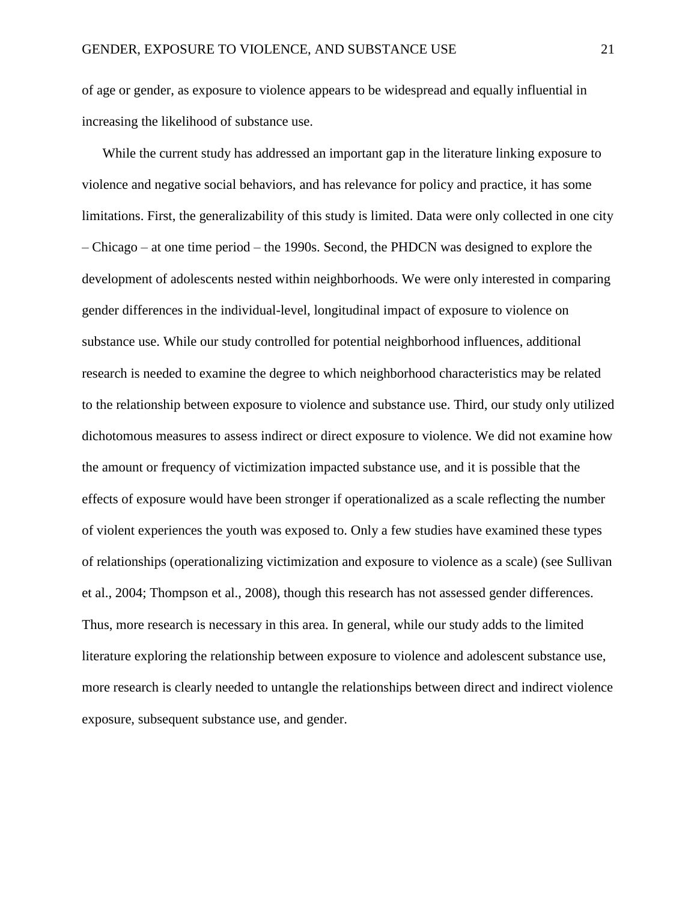of age or gender, as exposure to violence appears to be widespread and equally influential in increasing the likelihood of substance use.

While the current study has addressed an important gap in the literature linking exposure to violence and negative social behaviors, and has relevance for policy and practice, it has some limitations. First, the generalizability of this study is limited. Data were only collected in one city – Chicago – at one time period – the 1990s. Second, the PHDCN was designed to explore the development of adolescents nested within neighborhoods. We were only interested in comparing gender differences in the individual-level, longitudinal impact of exposure to violence on substance use. While our study controlled for potential neighborhood influences, additional research is needed to examine the degree to which neighborhood characteristics may be related to the relationship between exposure to violence and substance use. Third, our study only utilized dichotomous measures to assess indirect or direct exposure to violence. We did not examine how the amount or frequency of victimization impacted substance use, and it is possible that the effects of exposure would have been stronger if operationalized as a scale reflecting the number of violent experiences the youth was exposed to. Only a few studies have examined these types of relationships (operationalizing victimization and exposure to violence as a scale) (see [Sullivan](#page-28-0)  [et al., 2004;](#page-28-0) [Thompson et al., 2008\)](#page-28-4), though this research has not assessed gender differences. Thus, more research is necessary in this area. In general, while our study adds to the limited literature exploring the relationship between exposure to violence and adolescent substance use, more research is clearly needed to untangle the relationships between direct and indirect violence exposure, subsequent substance use, and gender.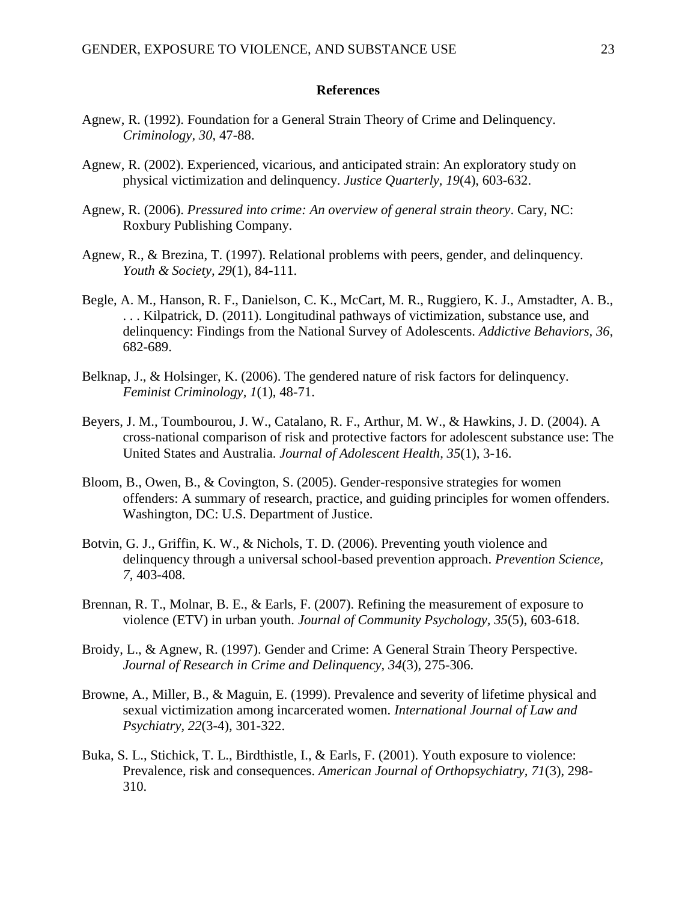#### **References**

- <span id="page-24-9"></span><span id="page-24-5"></span>Agnew, R. (1992). Foundation for a General Strain Theory of Crime and Delinquency. *Criminology, 30*, 47-88.
- <span id="page-24-12"></span>Agnew, R. (2002). Experienced, vicarious, and anticipated strain: An exploratory study on physical victimization and delinquency. *Justice Quarterly, 19*(4), 603-632.
- <span id="page-24-7"></span>Agnew, R. (2006). *Pressured into crime: An overview of general strain theory*. Cary, NC: Roxbury Publishing Company.
- <span id="page-24-11"></span>Agnew, R., & Brezina, T. (1997). Relational problems with peers, gender, and delinquency. *Youth & Society, 29*(1), 84-111.
- <span id="page-24-1"></span>Begle, A. M., Hanson, R. F., Danielson, C. K., McCart, M. R., Ruggiero, K. J., Amstadter, A. B., . . . Kilpatrick, D. (2011). Longitudinal pathways of victimization, substance use, and delinquency: Findings from the National Survey of Adolescents. *Addictive Behaviors, 36*, 682-689.
- <span id="page-24-2"></span>Belknap, J., & Holsinger, K. (2006). The gendered nature of risk factors for delinquency. *Feminist Criminology, 1*(1), 48-71.
- <span id="page-24-10"></span>Beyers, J. M., Toumbourou, J. W., Catalano, R. F., Arthur, M. W., & Hawkins, J. D. (2004). A cross-national comparison of risk and protective factors for adolescent substance use: The United States and Australia. *Journal of Adolescent Health, 35*(1), 3-16.
- <span id="page-24-4"></span>Bloom, B., Owen, B., & Covington, S. (2005). Gender-responsive strategies for women offenders: A summary of research, practice, and guiding principles for women offenders. Washington, DC: U.S. Department of Justice.
- <span id="page-24-13"></span>Botvin, G. J., Griffin, K. W., & Nichols, T. D. (2006). Preventing youth violence and delinquency through a universal school-based prevention approach. *Prevention Science, 7*, 403-408.
- <span id="page-24-8"></span>Brennan, R. T., Molnar, B. E., & Earls, F. (2007). Refining the measurement of exposure to violence (ETV) in urban youth. *Journal of Community Psychology, 35*(5), 603-618.
- <span id="page-24-6"></span>Broidy, L., & Agnew, R. (1997). Gender and Crime: A General Strain Theory Perspective. *Journal of Research in Crime and Delinquency, 34*(3), 275-306.
- <span id="page-24-3"></span>Browne, A., Miller, B., & Maguin, E. (1999). Prevalence and severity of lifetime physical and sexual victimization among incarcerated women. *International Journal of Law and Psychiatry, 22*(3-4), 301-322.
- <span id="page-24-0"></span>Buka, S. L., Stichick, T. L., Birdthistle, I., & Earls, F. (2001). Youth exposure to violence: Prevalence, risk and consequences. *American Journal of Orthopsychiatry, 71*(3), 298- 310.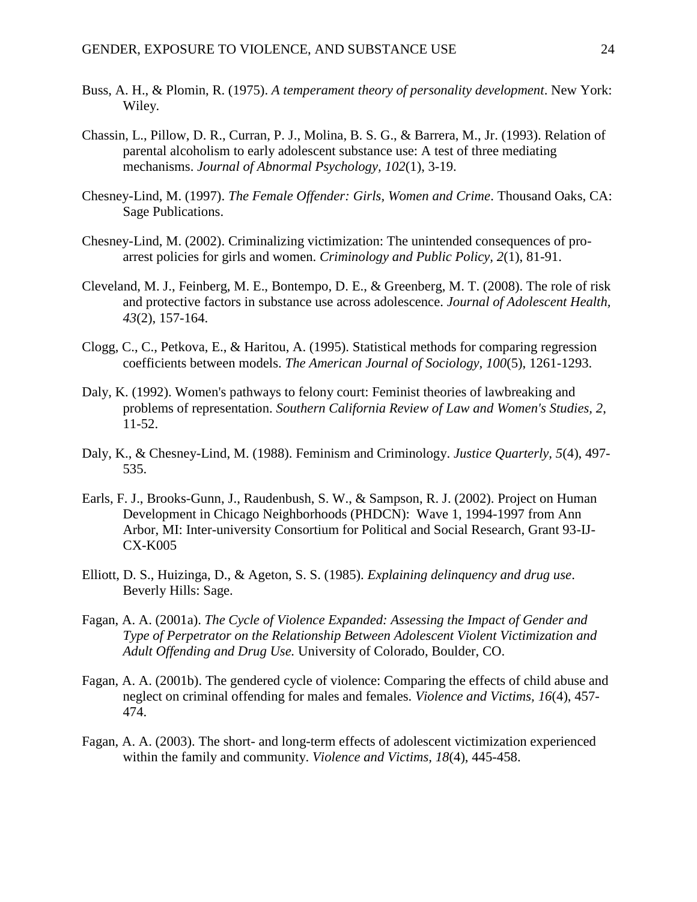- <span id="page-25-7"></span>Buss, A. H., & Plomin, R. (1975). *A temperament theory of personality development*. New York: Wiley.
- <span id="page-25-11"></span>Chassin, L., Pillow, D. R., Curran, P. J., Molina, B. S. G., & Barrera, M., Jr. (1993). Relation of parental alcoholism to early adolescent substance use: A test of three mediating mechanisms. *Journal of Abnormal Psychology, 102*(1), 3-19.
- <span id="page-25-0"></span>Chesney-Lind, M. (1997). *The Female Offender: Girls, Women and Crime*. Thousand Oaks, CA: Sage Publications.
- <span id="page-25-4"></span>Chesney-Lind, M. (2002). Criminalizing victimization: The unintended consequences of proarrest policies for girls and women. *Criminology and Public Policy, 2*(1), 81-91.
- <span id="page-25-9"></span>Cleveland, M. J., Feinberg, M. E., Bontempo, D. E., & Greenberg, M. T. (2008). The role of risk and protective factors in substance use across adolescence. *Journal of Adolescent Health, 43*(2), 157-164.
- <span id="page-25-12"></span>Clogg, C., C., Petkova, E., & Haritou, A. (1995). Statistical methods for comparing regression coefficients between models. *The American Journal of Sociology, 100*(5), 1261-1293.
- <span id="page-25-5"></span>Daly, K. (1992). Women's pathways to felony court: Feminist theories of lawbreaking and problems of representation. *Southern California Review of Law and Women's Studies, 2*, 11-52.
- <span id="page-25-2"></span>Daly, K., & Chesney-Lind, M. (1988). Feminism and Criminology. *Justice Quarterly, 5*(4), 497- 535.
- <span id="page-25-8"></span>Earls, F. J., Brooks-Gunn, J., Raudenbush, S. W., & Sampson, R. J. (2002). Project on Human Development in Chicago Neighborhoods (PHDCN): Wave 1, 1994-1997 from Ann Arbor, MI: Inter-university Consortium for Political and Social Research, Grant 93-IJ-CX-K005
- <span id="page-25-10"></span>Elliott, D. S., Huizinga, D., & Ageton, S. S. (1985). *Explaining delinquency and drug use*. Beverly Hills: Sage.
- <span id="page-25-3"></span>Fagan, A. A. (2001a). *The Cycle of Violence Expanded: Assessing the Impact of Gender and Type of Perpetrator on the Relationship Between Adolescent Violent Victimization and Adult Offending and Drug Use.* University of Colorado, Boulder, CO.
- <span id="page-25-1"></span>Fagan, A. A. (2001b). The gendered cycle of violence: Comparing the effects of child abuse and neglect on criminal offending for males and females. *Violence and Victims, 16*(4), 457- 474.
- <span id="page-25-6"></span>Fagan, A. A. (2003). The short- and long-term effects of adolescent victimization experienced within the family and community. *Violence and Victims, 18*(4), 445-458.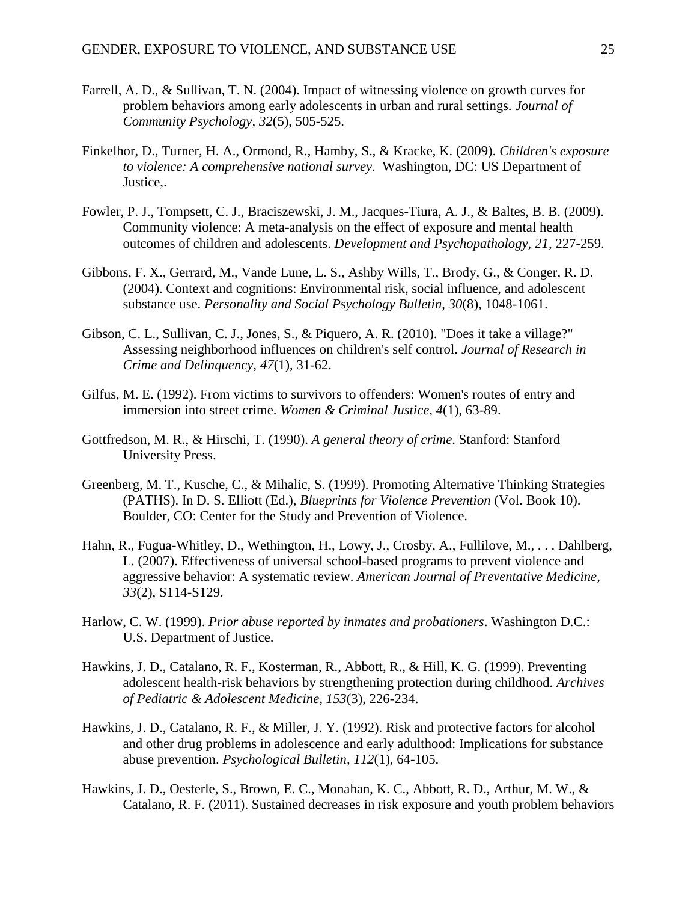- Farrell, A. D., & Sullivan, T. N. (2004). Impact of witnessing violence on growth curves for problem behaviors among early adolescents in urban and rural settings. *Journal of Community Psychology, 32*(5), 505-525.
- <span id="page-26-0"></span>Finkelhor, D., Turner, H. A., Ormond, R., Hamby, S., & Kracke, K. (2009). *Children's exposure to violence: A comprehensive national survey*. Washington, DC: US Department of Justice,.
- <span id="page-26-3"></span>Fowler, P. J., Tompsett, C. J., Braciszewski, J. M., Jacques-Tiura, A. J., & Baltes, B. B. (2009). Community violence: A meta-analysis on the effect of exposure and mental health outcomes of children and adolescents. *Development and Psychopathology, 21*, 227-259.
- <span id="page-26-7"></span>Gibbons, F. X., Gerrard, M., Vande Lune, L. S., Ashby Wills, T., Brody, G., & Conger, R. D. (2004). Context and cognitions: Environmental risk, social influence, and adolescent substance use. *Personality and Social Psychology Bulletin, 30*(8), 1048-1061.
- <span id="page-26-5"></span>Gibson, C. L., Sullivan, C. J., Jones, S., & Piquero, A. R. (2010). "Does it take a village?" Assessing neighborhood influences on children's self control. *Journal of Research in Crime and Delinquency, 47*(1), 31-62.
- <span id="page-26-1"></span>Gilfus, M. E. (1992). From victims to survivors to offenders: Women's routes of entry and immersion into street crime. *Women & Criminal Justice, 4*(1), 63-89.
- <span id="page-26-6"></span>Gottfredson, M. R., & Hirschi, T. (1990). *A general theory of crime*. Stanford: Stanford University Press.
- <span id="page-26-8"></span>Greenberg, M. T., Kusche, C., & Mihalic, S. (1999). Promoting Alternative Thinking Strategies (PATHS). In D. S. Elliott (Ed.), *Blueprints for Violence Prevention* (Vol. Book 10). Boulder, CO: Center for the Study and Prevention of Violence.
- <span id="page-26-9"></span>Hahn, R., Fugua-Whitley, D., Wethington, H., Lowy, J., Crosby, A., Fullilove, M., . . . Dahlberg, L. (2007). Effectiveness of universal school-based programs to prevent violence and aggressive behavior: A systematic review. *American Journal of Preventative Medicine, 33*(2), S114-S129.
- <span id="page-26-2"></span>Harlow, C. W. (1999). *Prior abuse reported by inmates and probationers*. Washington D.C.: U.S. Department of Justice.
- <span id="page-26-10"></span>Hawkins, J. D., Catalano, R. F., Kosterman, R., Abbott, R., & Hill, K. G. (1999). Preventing adolescent health-risk behaviors by strengthening protection during childhood. *Archives of Pediatric & Adolescent Medicine, 153*(3), 226-234.
- <span id="page-26-4"></span>Hawkins, J. D., Catalano, R. F., & Miller, J. Y. (1992). Risk and protective factors for alcohol and other drug problems in adolescence and early adulthood: Implications for substance abuse prevention. *Psychological Bulletin, 112*(1), 64-105.
- <span id="page-26-11"></span>Hawkins, J. D., Oesterle, S., Brown, E. C., Monahan, K. C., Abbott, R. D., Arthur, M. W., & Catalano, R. F. (2011). Sustained decreases in risk exposure and youth problem behaviors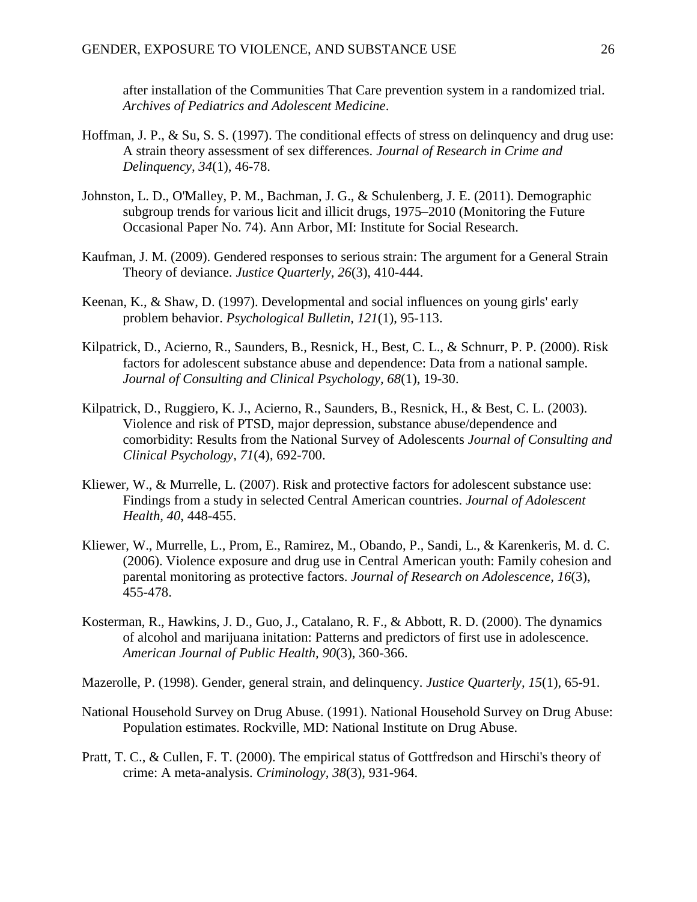<span id="page-27-11"></span>after installation of the Communities That Care prevention system in a randomized trial. *Archives of Pediatrics and Adolescent Medicine*.

- <span id="page-27-12"></span>Hoffman, J. P., & Su, S. S. (1997). The conditional effects of stress on delinquency and drug use: A strain theory assessment of sex differences. *Journal of Research in Crime and Delinquency, 34*(1), 46-78.
- <span id="page-27-0"></span>Johnston, L. D., O'Malley, P. M., Bachman, J. G., & Schulenberg, J. E. (2011). Demographic subgroup trends for various licit and illicit drugs, 1975–2010 (Monitoring the Future Occasional Paper No. 74). Ann Arbor, MI: Institute for Social Research.
- <span id="page-27-2"></span>Kaufman, J. M. (2009). Gendered responses to serious strain: The argument for a General Strain Theory of deviance. *Justice Quarterly, 26*(3), 410-444.
- <span id="page-27-1"></span>Keenan, K., & Shaw, D. (1997). Developmental and social influences on young girls' early problem behavior. *Psychological Bulletin, 121*(1), 95-113.
- <span id="page-27-6"></span>Kilpatrick, D., Acierno, R., Saunders, B., Resnick, H., Best, C. L., & Schnurr, P. P. (2000). Risk factors for adolescent substance abuse and dependence: Data from a national sample. *Journal of Consulting and Clinical Psychology, 68*(1), 19-30.
- <span id="page-27-3"></span>Kilpatrick, D., Ruggiero, K. J., Acierno, R., Saunders, B., Resnick, H., & Best, C. L. (2003). Violence and risk of PTSD, major depression, substance abuse/dependence and comorbidity: Results from the National Survey of Adolescents *Journal of Consulting and Clinical Psychology, 71*(4), 692-700.
- <span id="page-27-4"></span>Kliewer, W., & Murrelle, L. (2007). Risk and protective factors for adolescent substance use: Findings from a study in selected Central American countries. *Journal of Adolescent Health, 40*, 448-455.
- <span id="page-27-5"></span>Kliewer, W., Murrelle, L., Prom, E., Ramirez, M., Obando, P., Sandi, L., & Karenkeris, M. d. C. (2006). Violence exposure and drug use in Central American youth: Family cohesion and parental monitoring as protective factors. *Journal of Research on Adolescence, 16*(3), 455-478.
- <span id="page-27-10"></span>Kosterman, R., Hawkins, J. D., Guo, J., Catalano, R. F., & Abbott, R. D. (2000). The dynamics of alcohol and marijuana initation: Patterns and predictors of first use in adolescence. *American Journal of Public Health, 90*(3), 360-366.
- <span id="page-27-9"></span>Mazerolle, P. (1998). Gender, general strain, and delinquency. *Justice Quarterly, 15*(1), 65-91.
- <span id="page-27-7"></span>National Household Survey on Drug Abuse. (1991). National Household Survey on Drug Abuse: Population estimates. Rockville, MD: National Institute on Drug Abuse.
- <span id="page-27-8"></span>Pratt, T. C., & Cullen, F. T. (2000). The empirical status of Gottfredson and Hirschi's theory of crime: A meta-analysis. *Criminology, 38*(3), 931-964.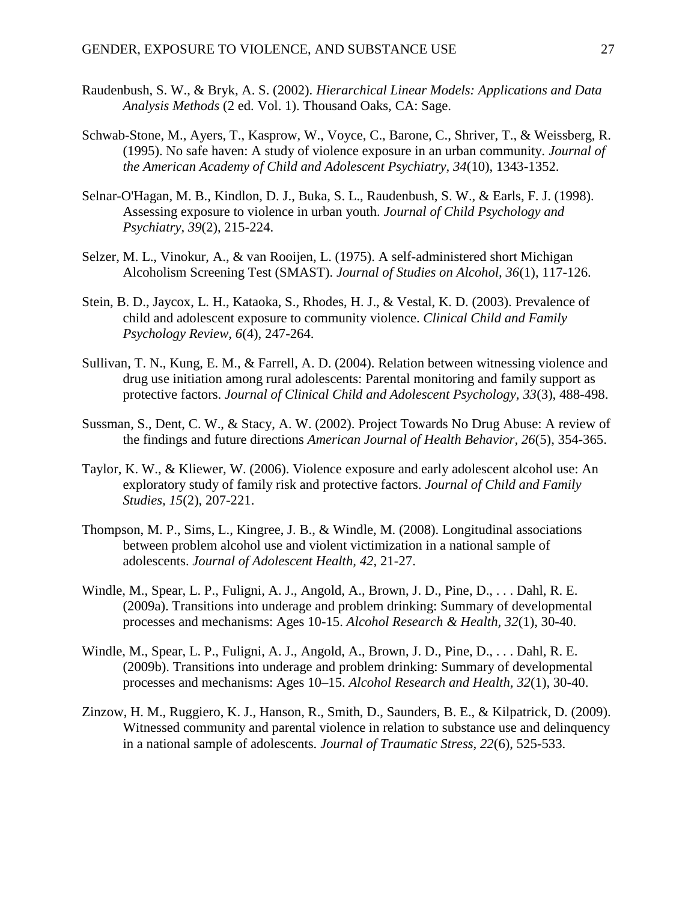- Raudenbush, S. W., & Bryk, A. S. (2002). *Hierarchical Linear Models: Applications and Data Analysis Methods* (2 ed. Vol. 1). Thousand Oaks, CA: Sage.
- <span id="page-28-2"></span>Schwab-Stone, M., Ayers, T., Kasprow, W., Voyce, C., Barone, C., Shriver, T., & Weissberg, R. (1995). No safe haven: A study of violence exposure in an urban community. *Journal of the American Academy of Child and Adolescent Psychiatry, 34*(10), 1343-1352.
- <span id="page-28-6"></span>Selnar-O'Hagan, M. B., Kindlon, D. J., Buka, S. L., Raudenbush, S. W., & Earls, F. J. (1998). Assessing exposure to violence in urban youth. *Journal of Child Psychology and Psychiatry, 39*(2), 215-224.
- <span id="page-28-9"></span>Selzer, M. L., Vinokur, A., & van Rooijen, L. (1975). A self-administered short Michigan Alcoholism Screening Test (SMAST). *Journal of Studies on Alcohol, 36*(1), 117-126.
- <span id="page-28-1"></span>Stein, B. D., Jaycox, L. H., Kataoka, S., Rhodes, H. J., & Vestal, K. D. (2003). Prevalence of child and adolescent exposure to community violence. *Clinical Child and Family Psychology Review, 6*(4), 247-264.
- <span id="page-28-0"></span>Sullivan, T. N., Kung, E. M., & Farrell, A. D. (2004). Relation between witnessing violence and drug use initiation among rural adolescents: Parental monitoring and family support as protective factors. *Journal of Clinical Child and Adolescent Psychology, 33*(3), 488-498.
- <span id="page-28-10"></span>Sussman, S., Dent, C. W., & Stacy, A. W. (2002). Project Towards No Drug Abuse: A review of the findings and future directions *American Journal of Health Behavior, 26*(5), 354-365.
- <span id="page-28-5"></span>Taylor, K. W., & Kliewer, W. (2006). Violence exposure and early adolescent alcohol use: An exploratory study of family risk and protective factors. *Journal of Child and Family Studies, 15*(2), 207-221.
- <span id="page-28-4"></span>Thompson, M. P., Sims, L., Kingree, J. B., & Windle, M. (2008). Longitudinal associations between problem alcohol use and violent victimization in a national sample of adolescents. *Journal of Adolescent Health, 42*, 21-27.
- <span id="page-28-8"></span>Windle, M., Spear, L. P., Fuligni, A. J., Angold, A., Brown, J. D., Pine, D., . . . Dahl, R. E. (2009a). Transitions into underage and problem drinking: Summary of developmental processes and mechanisms: Ages 10-15. *Alcohol Research & Health, 32*(1), 30-40.
- <span id="page-28-7"></span>Windle, M., Spear, L. P., Fuligni, A. J., Angold, A., Brown, J. D., Pine, D., . . . Dahl, R. E. (2009b). Transitions into underage and problem drinking: Summary of developmental processes and mechanisms: Ages 10–15. *Alcohol Research and Health, 32*(1), 30-40.
- <span id="page-28-3"></span>Zinzow, H. M., Ruggiero, K. J., Hanson, R., Smith, D., Saunders, B. E., & Kilpatrick, D. (2009). Witnessed community and parental violence in relation to substance use and delinquency in a national sample of adolescents. *Journal of Traumatic Stress, 22*(6), 525-533.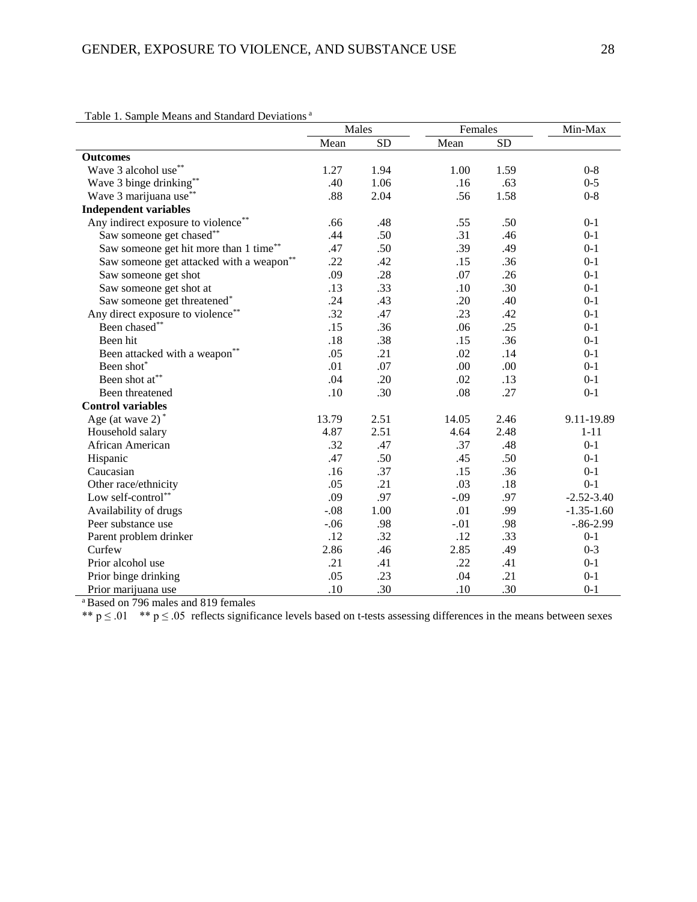|  |  |  |  |  | Table 1. Sample Means and Standard Deviations <sup>a</sup> |  |
|--|--|--|--|--|------------------------------------------------------------|--|
|--|--|--|--|--|------------------------------------------------------------|--|

| I able 1. Sample Means and Standard Deviations |        | Males     |        | Females   |                |
|------------------------------------------------|--------|-----------|--------|-----------|----------------|
|                                                | Mean   | <b>SD</b> | Mean   | <b>SD</b> |                |
| <b>Outcomes</b>                                |        |           |        |           |                |
| Wave 3 alcohol use**                           | 1.27   | 1.94      | 1.00   | 1.59      | $0 - 8$        |
| Wave 3 binge drinking**                        | .40    | 1.06      | .16    | .63       | $0 - 5$        |
| Wave 3 marijuana use <sup>*</sup>              | .88    | 2.04      | .56    | 1.58      | $0 - 8$        |
| <b>Independent variables</b>                   |        |           |        |           |                |
| Any indirect exposure to violence**            | .66    | .48       | .55    | .50       | $0 - 1$        |
| Saw someone get chased**                       | .44    | .50       | .31    | .46       | $0-1$          |
| Saw someone get hit more than 1 time**         | .47    | .50       | .39    | .49       | $0-1$          |
| Saw someone get attacked with a weapon**       | .22    | .42       | .15    | .36       | $0 - 1$        |
| Saw someone get shot                           | .09    | .28       | .07    | .26       | $0-1$          |
| Saw someone get shot at                        | .13    | .33       | .10    | .30       | $0 - 1$        |
| Saw someone get threatened <sup>*</sup>        | .24    | .43       | .20    | .40       | $0 - 1$        |
| Any direct exposure to violence**              | .32    | .47       | .23    | .42       | $0 - 1$        |
| Been chased**                                  | .15    | .36       | .06    | .25       | $0 - 1$        |
| Been hit                                       | .18    | .38       | .15    | .36       | $0 - 1$        |
| Been attacked with a weapon**                  | .05    | .21       | .02    | .14       | $0 - 1$        |
| Been shot*                                     | .01    | .07       | .00    | .00       | $0 - 1$        |
| Been shot at**                                 | .04    | .20       | .02    | .13       | $0 - 1$        |
| Been threatened                                | .10    | .30       | .08    | .27       | $0 - 1$        |
| <b>Control variables</b>                       |        |           |        |           |                |
| Age (at wave $2)$ <sup>*</sup>                 | 13.79  | 2.51      | 14.05  | 2.46      | 9.11-19.89     |
| Household salary                               | 4.87   | 2.51      | 4.64   | 2.48      | $1 - 11$       |
| African American                               | .32    | .47       | .37    | .48       | $0 - 1$        |
| Hispanic                                       | .47    | .50       | .45    | .50       | $0 - 1$        |
| Caucasian                                      | .16    | .37       | .15    | .36       | $0 - 1$        |
| Other race/ethnicity                           | .05    | .21       | .03    | .18       | $0 - 1$        |
| Low self-control**                             | .09    | .97       | $-.09$ | .97       | $-2.52 - 3.40$ |
| Availability of drugs                          | $-.08$ | 1.00      | .01    | .99       | $-1.35 - 1.60$ |
| Peer substance use                             | $-.06$ | .98       | $-.01$ | .98       | $-.86-2.99$    |
| Parent problem drinker                         | .12    | .32       | .12    | .33       | $0 - 1$        |
| Curfew                                         | 2.86   | .46       | 2.85   | .49       | $0 - 3$        |
| Prior alcohol use                              | .21    | .41       | .22    | .41       | $0 - 1$        |
| Prior binge drinking                           | .05    | .23       | .04    | .21       | $0 - 1$        |
| Prior marijuana use                            | .10    | .30       | .10    | .30       | $0 - 1$        |

<sup>a</sup> Based on 796 males and 819 females

\*\*  $p \le 0.01$  \*\*  $p \le 0.05$  reflects significance levels based on t-tests assessing differences in the means between sexes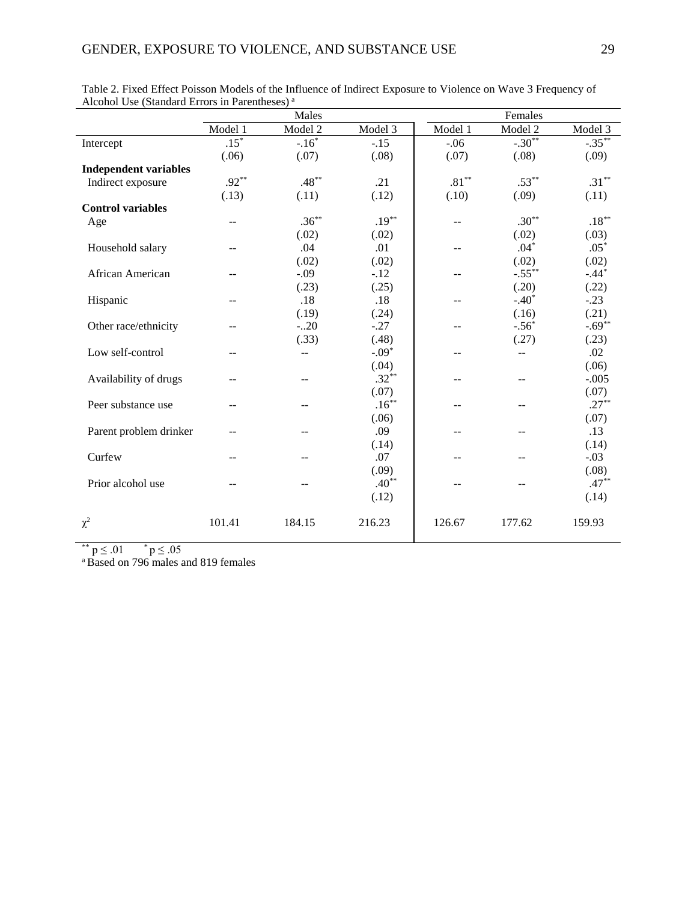|                              |                | Males          |          |                  | Females   |           |  |
|------------------------------|----------------|----------------|----------|------------------|-----------|-----------|--|
|                              | Model 1        | Model 2        | Model 3  | Model 1          | Model 2   | Model 3   |  |
| Intercept                    | $.15*$         | $-.16*$        | $-.15$   | $-.06$           | $-.30**$  | $-.35***$ |  |
|                              | (.06)          | (.07)          | (.08)    | (.07)            | (.08)     | (.09)     |  |
| <b>Independent variables</b> |                |                |          |                  |           |           |  |
| Indirect exposure            | $.92***$       | $.48***$       | .21      | $.81^{\ast\ast}$ | $.53***$  | $.31***$  |  |
|                              | (.13)          | (.11)          | (.12)    | (.10)            | (.09)     | (.11)     |  |
| <b>Control variables</b>     |                |                |          |                  |           |           |  |
| Age                          | --             | $.36***$       | $.19***$ | --               | $.30**$   | $.18***$  |  |
|                              |                | (.02)          | (.02)    |                  | (.02)     | (.03)     |  |
| Household salary             | --             | .04            | .01      | --               | $.04*$    | $.05*$    |  |
|                              |                | (.02)          | (.02)    |                  | (.02)     | (.02)     |  |
| African American             | $-$            | $-.09$         | $-.12$   | $-$              | $-.55***$ | $-.44*$   |  |
|                              |                | (.23)          | (.25)    |                  | (.20)     | (.22)     |  |
| Hispanic                     | --             | .18            | .18      | --               | $-.40*$   | $-.23$    |  |
|                              |                | (.19)          | (.24)    |                  | (.16)     | (.21)     |  |
| Other race/ethnicity         | --             | $-.20$         | $-.27$   | --               | $-.56*$   | $-.69***$ |  |
|                              |                | (.33)          | (.48)    |                  | (.27)     | (.23)     |  |
| Low self-control             |                | --             | $-.09*$  | --               | --        | .02       |  |
|                              |                |                | (.04)    |                  |           | (.06)     |  |
| Availability of drugs        | --             | $\frac{1}{2}$  | $.32***$ |                  | $-$       | $-.005$   |  |
|                              |                |                | (.07)    |                  |           | (.07)     |  |
| Peer substance use           | --             | --             | $.16***$ | --               | --        | $.27***$  |  |
|                              |                |                | (.06)    |                  |           | (.07)     |  |
| Parent problem drinker       | --             | --             | .09      | --               | --        | .13       |  |
|                              |                |                | (.14)    |                  |           | (.14)     |  |
| Curfew                       | --             | --             | .07      | --               | --        | $-.03$    |  |
|                              |                |                | (.09)    |                  |           | (.08)     |  |
| Prior alcohol use            | $\overline{a}$ | $\overline{a}$ | $.40**$  | $-$              | $-$       | $.47***$  |  |
|                              |                |                | (.12)    |                  |           | (.14)     |  |
| $\chi^2$                     | 101.41         | 184.15         | 216.23   | 126.67           | 177.62    | 159.93    |  |

Table 2. Fixed Effect Poisson Models of the Influence of Indirect Exposure to Violence on Wave 3 Frequency of Alcohol Use (Standard Errors in Parentheses)<sup>a</sup>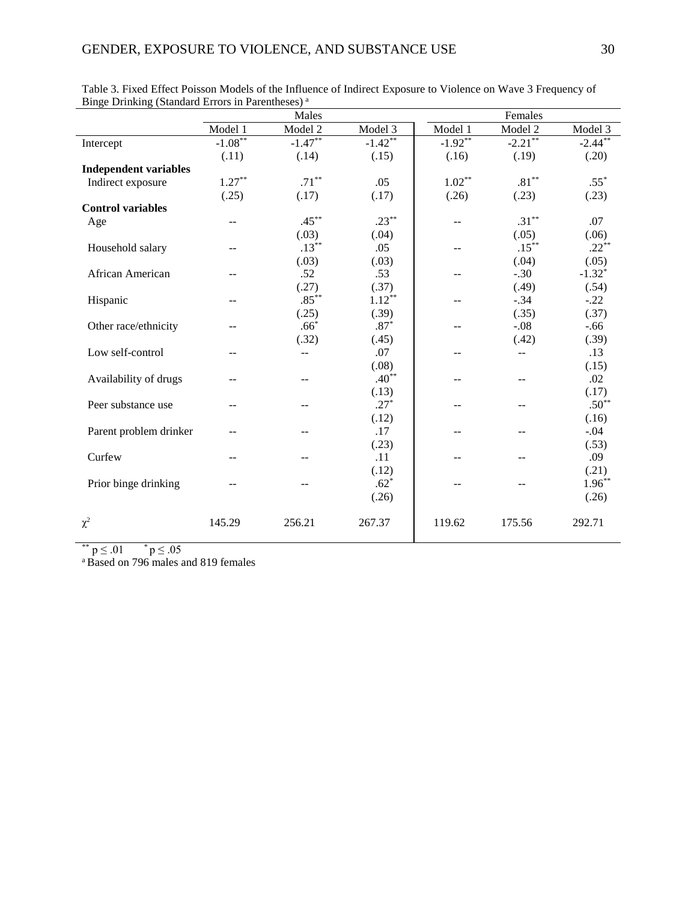|                              |               | Males     |           | Females           |                  |           |  |
|------------------------------|---------------|-----------|-----------|-------------------|------------------|-----------|--|
|                              | Model 1       | Model 2   | Model 3   | Model 1           | Model 2          | Model 3   |  |
| Intercept                    | $-1.08**$     | $-1.47**$ | $-1.42**$ | $-1.92**$         | $-2.21$ **       | $-2.44**$ |  |
|                              | (.11)         | (.14)     | (.15)     | (.16)             | (.19)            | (.20)     |  |
| <b>Independent variables</b> |               |           |           |                   |                  |           |  |
| Indirect exposure            | $1.27***$     | $.71***$  | .05       | $1.02^{\ast\ast}$ | $.81^{\ast\ast}$ | $.55*$    |  |
|                              | (.25)         | (.17)     | (.17)     | (.26)             | (.23)            | (.23)     |  |
| <b>Control variables</b>     |               |           |           |                   |                  |           |  |
| Age                          | --            | $.45***$  | $.23***$  |                   | $.31***$         | .07       |  |
|                              |               | (.03)     | (.04)     |                   | (.05)            | (.06)     |  |
| Household salary             | $\frac{1}{2}$ | $.13***$  | .05       | $- -$             | $.15***$         | $.22***$  |  |
|                              |               | (.03)     | (.03)     |                   | (.04)            | (.05)     |  |
| African American             | --            | .52       | .53       | --                | $-.30$           | $-1.32*$  |  |
|                              |               | (.27)     | (.37)     |                   | (.49)            | (.54)     |  |
| Hispanic                     |               | $.85***$  | $1.12***$ | --                | $-.34$           | $-.22$    |  |
|                              |               | (.25)     | (.39)     |                   | (.35)            | (.37)     |  |
| Other race/ethnicity         |               | $.66*$    | $.87*$    | --                | $-.08$           | $-.66$    |  |
|                              |               | (.32)     | (.45)     |                   | (.42)            | (.39)     |  |
| Low self-control             |               | --        | .07       |                   | --               | .13       |  |
|                              |               |           | (.08)     |                   |                  | (.15)     |  |
| Availability of drugs        | --            | $-$       | $.40***$  | --                | $-$              | .02       |  |
|                              |               |           | (.13)     |                   |                  | (.17)     |  |
| Peer substance use           | --            | $-$       | $.27*$    | --                | --               | $.50**$   |  |
|                              |               |           | (.12)     |                   |                  | (.16)     |  |
| Parent problem drinker       |               | --        | .17       | --                |                  | $-.04$    |  |
|                              |               |           | (.23)     |                   |                  | (.53)     |  |
| Curfew                       |               |           | .11       | --                |                  | .09       |  |
|                              |               |           | (.12)     |                   |                  | (.21)     |  |
| Prior binge drinking         |               |           | $.62*$    | $-$               | $\overline{a}$   | $1.96***$ |  |
|                              |               |           | (.26)     |                   |                  | (.26)     |  |
| $\chi^2$                     | 145.29        | 256.21    | 267.37    | 119.62            | 175.56           | 292.71    |  |
|                              |               |           |           |                   |                  |           |  |

Table 3. Fixed Effect Poisson Models of the Influence of Indirect Exposure to Violence on Wave 3 Frequency of Binge Drinking (Standard Errors in Parentheses)<sup>a</sup>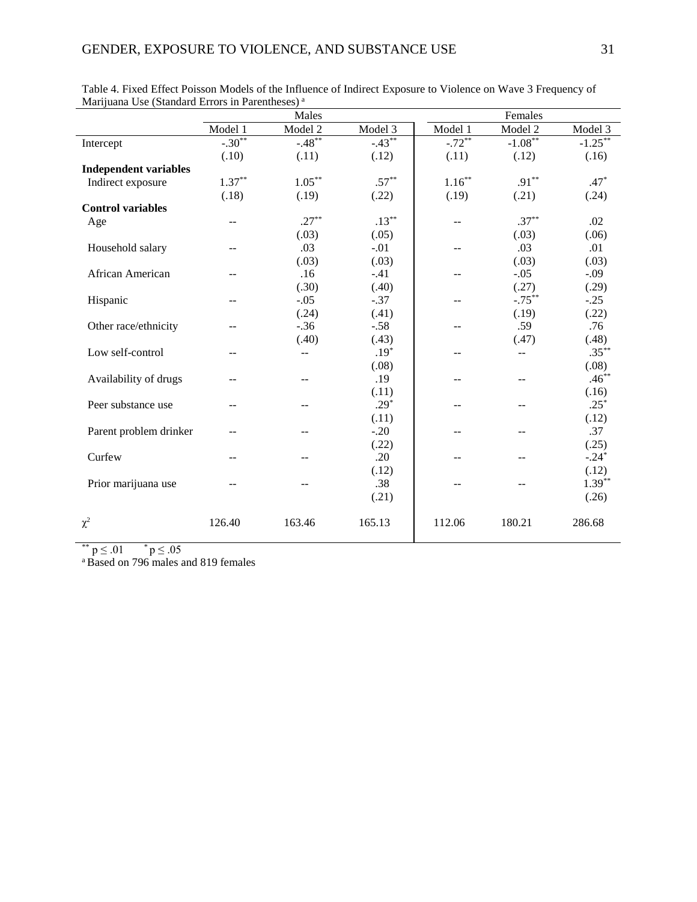|                              |               | Males     |           |           | Females        |            |  |  |
|------------------------------|---------------|-----------|-----------|-----------|----------------|------------|--|--|
|                              | Model 1       | Model 2   | Model 3   | Model 1   | Model 2        | Model 3    |  |  |
| Intercept                    | $-.30**$      | $-.48***$ | $-.43***$ | $-72**$   | $-1.08***$     | $-1.25***$ |  |  |
|                              | (.10)         | (.11)     | (.12)     | (.11)     | (.12)          | (.16)      |  |  |
| <b>Independent variables</b> |               |           |           |           |                |            |  |  |
| Indirect exposure            | $1.37***$     | $1.05***$ | $.57***$  | $1.16***$ | $.91***$       | $.47*$     |  |  |
|                              | (.18)         | (.19)     | (.22)     | (.19)     | (.21)          | (.24)      |  |  |
| <b>Control variables</b>     |               |           |           |           |                |            |  |  |
| Age                          | --            | $.27***$  | $.13***$  |           | $.37***$       | .02        |  |  |
|                              |               | (.03)     | (.05)     |           | (.03)          | (.06)      |  |  |
| Household salary             | $\frac{1}{2}$ | .03       | $-.01$    | $- -$     | .03            | .01        |  |  |
|                              |               | (.03)     | (.03)     |           | (.03)          | (.03)      |  |  |
| African American             | --            | .16       | $-.41$    | --        | $-.05$         | $-.09$     |  |  |
|                              |               | (.30)     | (.40)     |           | (.27)          | (.29)      |  |  |
| Hispanic                     | --            | $-.05$    | $-.37$    | --        | $-.75***$      | $-.25$     |  |  |
|                              |               | (.24)     | (.41)     |           | (.19)          | (.22)      |  |  |
| Other race/ethnicity         |               | $-.36$    | $-.58$    | --        | .59            | .76        |  |  |
|                              |               | (.40)     | (.43)     |           | (.47)          | (.48)      |  |  |
| Low self-control             |               | --        | $.19*$    |           | --             | $.35***$   |  |  |
|                              |               |           | (.08)     |           |                | (.08)      |  |  |
| Availability of drugs        | --            | $-$       | .19       | --        | $-$            | $.46***$   |  |  |
|                              |               |           | (.11)     |           |                | (.16)      |  |  |
| Peer substance use           | --            | $-$       | $.29*$    | --        | --             | $.25*$     |  |  |
|                              |               |           | (.11)     |           |                | (.12)      |  |  |
| Parent problem drinker       | --            | --        | $-.20$    | --        |                | .37        |  |  |
|                              |               |           | (.22)     |           |                | (.25)      |  |  |
| Curfew                       | $-$           | $-$       | .20       | --        |                | $-.24*$    |  |  |
|                              |               |           | (.12)     |           |                | (.12)      |  |  |
| Prior marijuana use          |               |           | .38       | $-$       | $\overline{a}$ | $1.39***$  |  |  |
|                              |               |           | (.21)     |           |                | (.26)      |  |  |
| $\chi^2$                     | 126.40        | 163.46    | 165.13    | 112.06    | 180.21         | 286.68     |  |  |

Table 4. Fixed Effect Poisson Models of the Influence of Indirect Exposure to Violence on Wave 3 Frequency of Marijuana Use (Standard Errors in Parentheses)<sup>a</sup>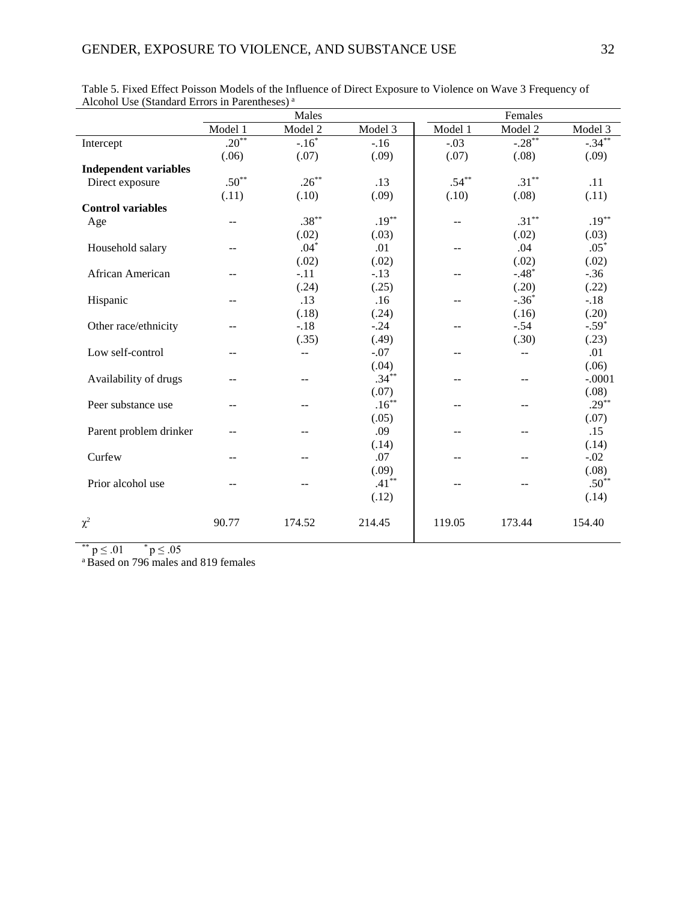|                              | Males   |                    |          | Females  |           |           |  |
|------------------------------|---------|--------------------|----------|----------|-----------|-----------|--|
|                              | Model 1 | Model 2            | Model 3  | Model 1  | Model 2   | Model 3   |  |
| Intercept                    | $.20**$ | $-16$ <sup>*</sup> | $-16$    | $-.03$   | $-.28***$ | $-.34***$ |  |
|                              | (.06)   | (.07)              | (.09)    | (.07)    | (.08)     | (.09)     |  |
| <b>Independent variables</b> |         |                    |          |          |           |           |  |
| Direct exposure              | $.50**$ | $.26***$           | .13      | $.54***$ | $.31***$  | .11       |  |
|                              | (.11)   | (.10)              | (.09)    | (.10)    | (.08)     | (.11)     |  |
| <b>Control variables</b>     |         |                    |          |          |           |           |  |
| Age                          | --      | $.38***$           | $.19***$ | --       | $.31***$  | $.19***$  |  |
|                              |         | (.02)              | (.03)    |          | (.02)     | (.03)     |  |
| Household salary             | $-$     | $.04*$             | .01      | --       | .04       | $.05*$    |  |
|                              |         | (.02)              | (.02)    |          | (.02)     | (.02)     |  |
| African American             | --      | $-.11$             | $-.13$   | --       | $-.48*$   | $-.36$    |  |
|                              |         | (.24)              | (.25)    |          | (.20)     | (.22)     |  |
| Hispanic                     |         | .13                | .16      | --       | $-.36*$   | $-.18$    |  |
|                              |         | (.18)              | (.24)    |          | (.16)     | (.20)     |  |
| Other race/ethnicity         |         | $-.18$             | $-.24$   | --       | $-.54$    | $-.59*$   |  |
|                              |         | (.35)              | (.49)    |          | (.30)     | (.23)     |  |
| Low self-control             | --      | --                 | $-.07$   |          | $-$       | .01       |  |
|                              |         |                    | (.04)    |          |           | (.06)     |  |
| Availability of drugs        | --      | --                 | $.34***$ | --       | $-$       | $-.0001$  |  |
|                              |         |                    | (.07)    |          |           | (.08)     |  |
| Peer substance use           | --      | $\frac{1}{2}$      | $.16***$ | $-$      | $-$       | $.29***$  |  |
|                              |         |                    | (.05)    |          |           | (.07)     |  |
| Parent problem drinker       |         | --                 | .09      | --       | $-$       | .15       |  |
|                              |         |                    | (.14)    |          |           | (.14)     |  |
| Curfew                       | --      | $\frac{1}{2}$      | .07      | $-$      | $-$       | $-.02$    |  |
|                              |         |                    | (.09)    |          |           | (.08)     |  |
| Prior alcohol use            | --      | --                 | $.41***$ |          | --        | $.50**$   |  |
|                              |         |                    | (.12)    |          |           | (.14)     |  |
| $\chi^2$                     | 90.77   | 174.52             | 214.45   | 119.05   | 173.44    | 154.40    |  |
|                              |         |                    |          |          |           |           |  |

| Table 5. Fixed Effect Poisson Models of the Influence of Direct Exposure to Violence on Wave 3 Frequency of |  |  |
|-------------------------------------------------------------------------------------------------------------|--|--|
| Alcohol Use (Standard Errors in Parentheses) <sup>a</sup>                                                   |  |  |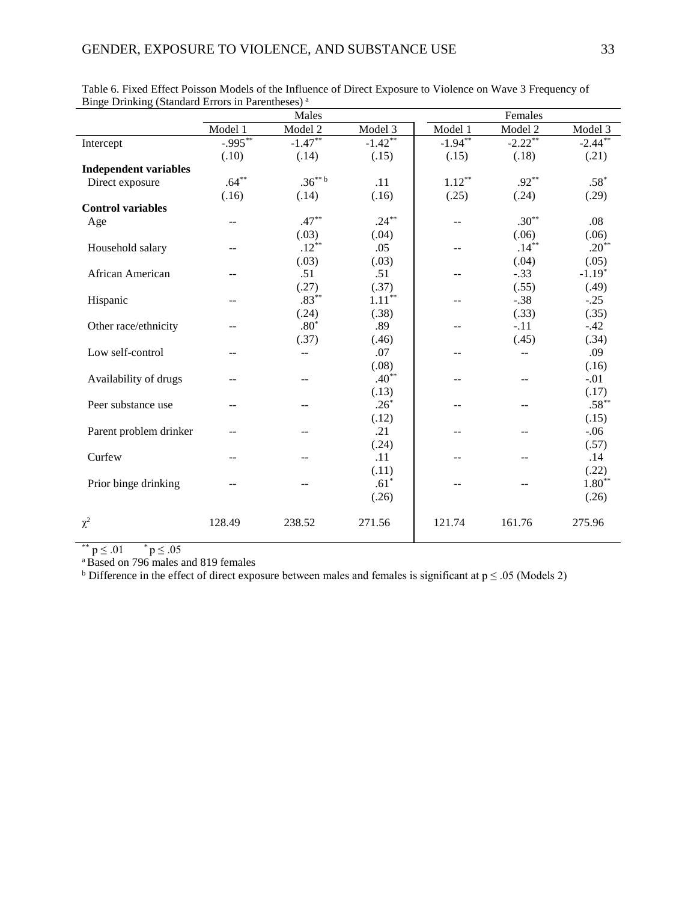|                              | Males                    |           |                   | Females           |           |            |  |
|------------------------------|--------------------------|-----------|-------------------|-------------------|-----------|------------|--|
|                              | Model 1                  | Model 2   | Model 3           | Model 1           | Model 2   | Model 3    |  |
| Intercept                    | $-0.995***$              | $-1.47**$ | $-1.42**$         | $-1.94**$         | $-2.22**$ | $-2.44***$ |  |
|                              | (.10)                    | (.14)     | (.15)             | (.15)             | (.18)     | (.21)      |  |
| <b>Independent variables</b> |                          |           |                   |                   |           |            |  |
| Direct exposure              | $.64***$                 | $.36***$  | .11               | $1.12^{\ast\ast}$ | $.92***$  | $.58*$     |  |
|                              | (.16)                    | (.14)     | (.16)             | (.25)             | (.24)     | (.29)      |  |
| <b>Control variables</b>     |                          |           |                   |                   |           |            |  |
| Age                          | $-$                      | $.47***$  | $.24***$          |                   | $.30***$  | .08        |  |
|                              |                          | (.03)     | (.04)             |                   | (.06)     | (.06)      |  |
| Household salary             | $\sim$ $\sim$            | $.12***$  | .05               | $-$               | $.14***$  | $.20**$    |  |
|                              |                          | (.03)     | (.03)             |                   | (.04)     | (.05)      |  |
| African American             | $\frac{1}{2}$            | .51       | .51               | --                | $-.33$    | $-1.19*$   |  |
|                              |                          | (.27)     | (.37)             |                   | (.55)     | (.49)      |  |
| Hispanic                     | $\overline{\phantom{a}}$ | $.83***$  | $1.11^{\ast\ast}$ | --                | $-.38$    | $-.25$     |  |
|                              |                          | (.24)     | (.38)             |                   | (.33)     | (.35)      |  |
| Other race/ethnicity         |                          | $.80*$    | .89               |                   | $-.11$    | $-.42$     |  |
|                              |                          | (.37)     | (.46)             |                   | (.45)     | (.34)      |  |
| Low self-control             | --                       | $-$       | .07               | --                | $-$       | .09        |  |
|                              |                          |           | (.08)             |                   |           | (.16)      |  |
| Availability of drugs        | --                       |           | $.40**$           |                   | $-$       | $-.01$     |  |
|                              |                          |           | (.13)             |                   |           | (.17)      |  |
| Peer substance use           | $\overline{a}$           | --        | $.26*$            | --                | $-$       | $.58***$   |  |
|                              |                          |           | (.12)             |                   |           | (.15)      |  |
| Parent problem drinker       |                          |           | .21               |                   |           | $-.06$     |  |
|                              |                          |           | (.24)             |                   |           | (.57)      |  |
| Curfew                       | $-$                      | --        | .11               | --                | --        | .14        |  |
|                              |                          |           | (.11)             |                   |           | (.22)      |  |
| Prior binge drinking         |                          |           | $.61*$            |                   |           | $1.80**$   |  |
|                              |                          |           | (.26)             |                   |           | (.26)      |  |
| $\chi^2$                     | 128.49                   | 238.52    | 271.56            | 121.74            | 161.76    | 275.96     |  |

Table 6. Fixed Effect Poisson Models of the Influence of Direct Exposure to Violence on Wave 3 Frequency of Binge Drinking (Standard Errors in Parentheses)<sup>a</sup>

\*\*  $p \le 0.01$  \*  $p \le 0.05$ 

<sup>a</sup> Based on 796 males and 819 females

b Difference in the effect of direct exposure between males and females is significant at  $p \le 0.05$  (Models 2)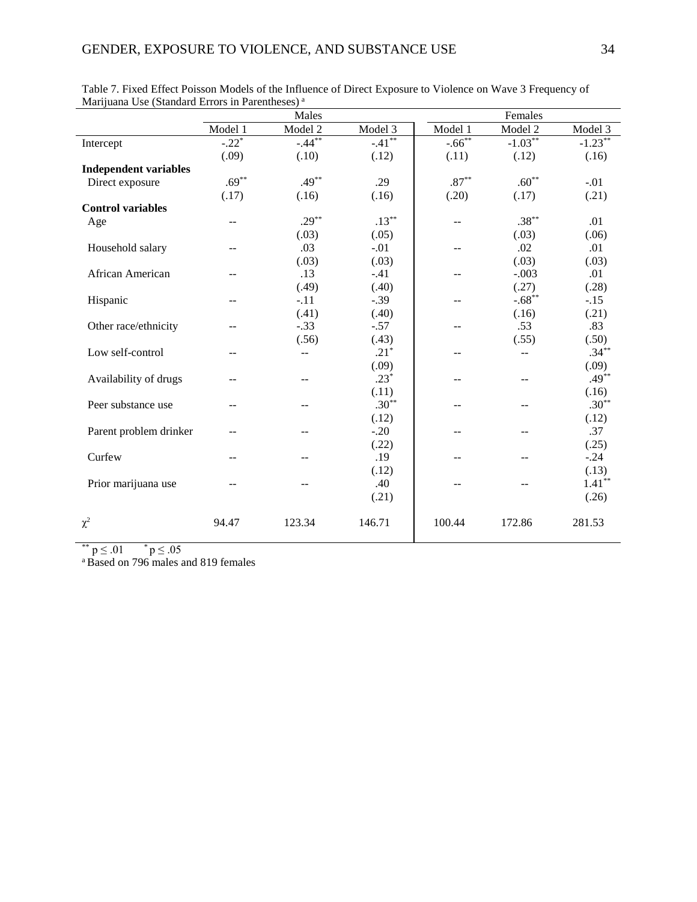| Marquana Ose (Standard Errors in Farentheses) | Males              |           |           | Females          |                |           |  |
|-----------------------------------------------|--------------------|-----------|-----------|------------------|----------------|-----------|--|
|                                               | Model 1            | Model 2   | Model 3   | Model 1          | Model 2        | Model 3   |  |
| Intercept                                     | $-22$ <sup>*</sup> | $-.44***$ | $-.41***$ | $-.66***$        | $-1.03***$     | $-1.23**$ |  |
|                                               | (.09)              | (.10)     | (.12)     | (.11)            | (.12)          | (.16)     |  |
| <b>Independent variables</b>                  |                    |           |           |                  |                |           |  |
| Direct exposure                               | $.69***$           | $.49***$  | .29       | $.87^{\ast\ast}$ | $.60**$        | $-.01$    |  |
|                                               | (.17)              | (.16)     | (.16)     | (.20)            | (.17)          | (.21)     |  |
| <b>Control variables</b>                      |                    |           |           |                  |                |           |  |
| Age                                           |                    | $.29***$  | $.13***$  | --               | $.38***$       | .01       |  |
|                                               |                    | (.03)     | (.05)     |                  | (.03)          | (.06)     |  |
| Household salary                              | --                 | .03       | $-.01$    | --               | .02            | .01       |  |
|                                               |                    | (.03)     | (.03)     |                  | (.03)          | (.03)     |  |
| African American                              |                    | .13       | $-.41$    | --               | $-.003$        | .01       |  |
|                                               |                    | (.49)     | (.40)     |                  | (.27)          | (.28)     |  |
| Hispanic                                      |                    | $-.11$    | $-.39$    | --               | $-.68**$       | $-.15$    |  |
|                                               |                    | (.41)     | (.40)     |                  | (.16)          | (.21)     |  |
| Other race/ethnicity                          |                    | $-.33$    | $-.57$    | --               | .53            | .83       |  |
|                                               |                    | (.56)     | (.43)     |                  | (.55)          | (.50)     |  |
| Low self-control                              |                    | $-$       | $.21*$    | $-$              | $\overline{a}$ | $.34***$  |  |
|                                               |                    |           | (.09)     |                  |                | (.09)     |  |
| Availability of drugs                         |                    | $-$       | $.23*$    | --               | $-$            | $.49***$  |  |
|                                               |                    |           | (.11)     |                  |                | (.16)     |  |
| Peer substance use                            |                    |           | $.30**$   | --               |                | $.30**$   |  |
|                                               |                    |           | (.12)     |                  |                | (.12)     |  |
| Parent problem drinker                        |                    | --        | $-.20$    | --               | --             | .37       |  |
|                                               |                    |           | (.22)     |                  |                | (.25)     |  |
| Curfew                                        | $\sim$ $\sim$      | --        | .19       | --               | --             | $-.24$    |  |
|                                               |                    |           | (.12)     |                  |                | (.13)     |  |
| Prior marijuana use                           | $-$                | --        | .40       | --               | --             | $1.41***$ |  |
|                                               |                    |           | (.21)     |                  |                | (.26)     |  |
| $\chi^2$                                      | 94.47              | 123.34    | 146.71    | 100.44           | 172.86         | 281.53    |  |
|                                               |                    |           |           |                  |                |           |  |

| Table 7. Fixed Effect Poisson Models of the Influence of Direct Exposure to Violence on Wave 3 Frequency of |  |
|-------------------------------------------------------------------------------------------------------------|--|
| Marijuana Use (Standard Errors in Parentheses) <sup>a</sup>                                                 |  |